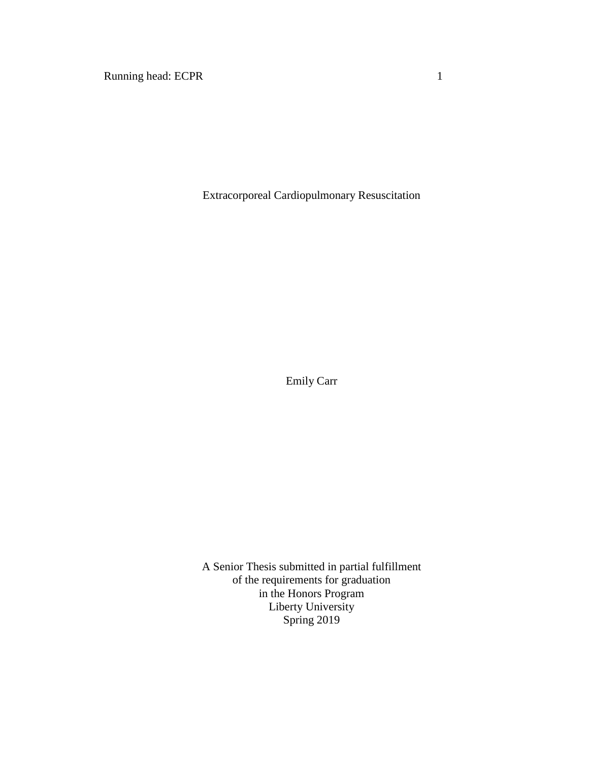Running head: ECPR 1

Extracorporeal Cardiopulmonary Resuscitation

Emily Carr

A Senior Thesis submitted in partial fulfillment of the requirements for graduation in the Honors Program Liberty University Spring 2019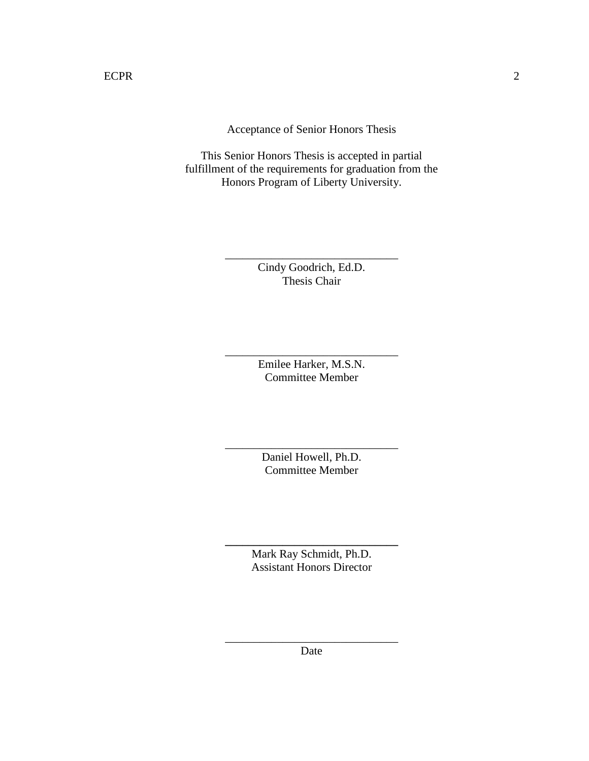Acceptance of Senior Honors Thesis

This Senior Honors Thesis is accepted in partial fulfillment of the requirements for graduation from the Honors Program of Liberty University.

> Cindy Goodrich, Ed.D. Thesis Chair

\_\_\_\_\_\_\_\_\_\_\_\_\_\_\_\_\_\_\_\_\_\_\_\_\_\_\_\_\_\_

Emilee Harker, M.S.N. Committee Member

\_\_\_\_\_\_\_\_\_\_\_\_\_\_\_\_\_\_\_\_\_\_\_\_\_\_\_\_\_\_

Daniel Howell, Ph.D. Committee Member

\_\_\_\_\_\_\_\_\_\_\_\_\_\_\_\_\_\_\_\_\_\_\_\_\_\_\_\_\_\_

Mark Ray Schmidt, Ph.D. Assistant Honors Director

**\_\_\_\_\_\_\_\_\_\_\_\_\_\_\_\_\_\_\_\_\_\_\_\_\_\_\_\_\_\_**

\_\_\_\_\_\_\_\_\_\_\_\_\_\_\_\_\_\_\_\_\_\_\_\_\_\_\_\_\_\_ Date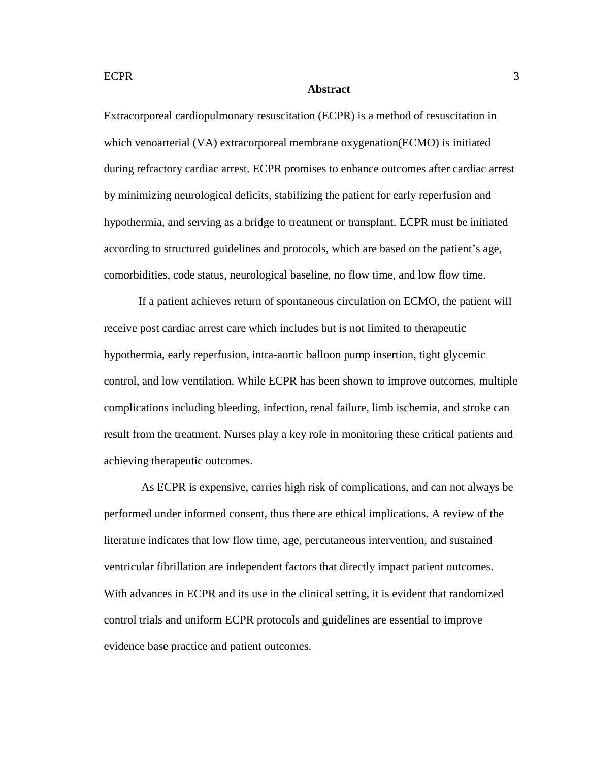#### **Abstract**

Extracorporeal cardiopulmonary resuscitation (ECPR) is a method of resuscitation in which venoarterial (VA) extracorporeal membrane oxygenation(ECMO) is initiated during refractory cardiac arrest. ECPR promises to enhance outcomes after cardiac arrest by minimizing neurological deficits, stabilizing the patient for early reperfusion and hypothermia, and serving as a bridge to treatment or transplant. ECPR must be initiated according to structured guidelines and protocols, which are based on the patient's age, comorbidities, code status, neurological baseline, no flow time, and low flow time.

If a patient achieves return of spontaneous circulation on ECMO, the patient will receive post cardiac arrest care which includes but is not limited to therapeutic hypothermia, early reperfusion, intra-aortic balloon pump insertion, tight glycemic control, and low ventilation. While ECPR has been shown to improve outcomes, multiple complications including bleeding, infection, renal failure, limb ischemia, and stroke can result from the treatment. Nurses play a key role in monitoring these critical patients and achieving therapeutic outcomes.

As ECPR is expensive, carries high risk of complications, and can not always be performed under informed consent, thus there are ethical implications. A review of the literature indicates that low flow time, age, percutaneous intervention, and sustained ventricular fibrillation are independent factors that directly impact patient outcomes. With advances in ECPR and its use in the clinical setting, it is evident that randomized control trials and uniform ECPR protocols and guidelines are essential to improve evidence base practice and patient outcomes.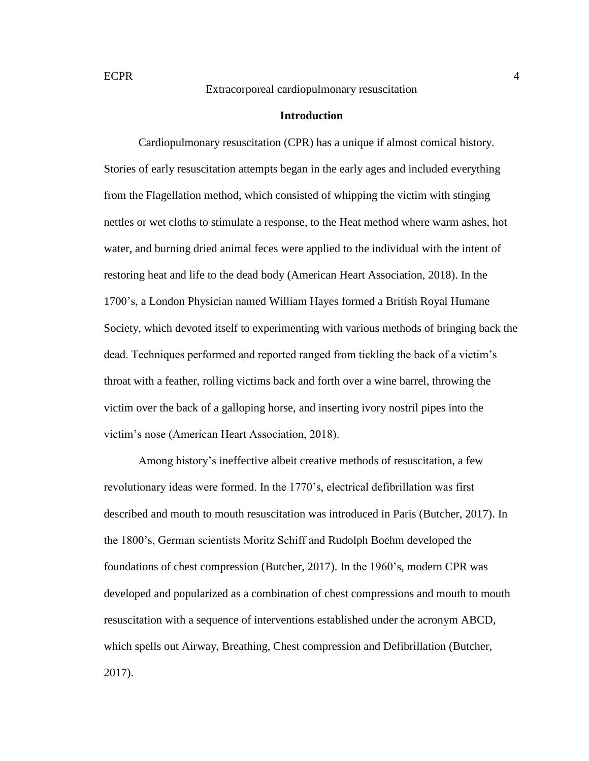#### **Introduction**

Cardiopulmonary resuscitation (CPR) has a unique if almost comical history. Stories of early resuscitation attempts began in the early ages and included everything from the Flagellation method, which consisted of whipping the victim with stinging nettles or wet cloths to stimulate a response, to the Heat method where warm ashes, hot water, and burning dried animal feces were applied to the individual with the intent of restoring heat and life to the dead body (American Heart Association, 2018). In the 1700's, a London Physician named William Hayes formed a British Royal Humane Society, which devoted itself to experimenting with various methods of bringing back the dead. Techniques performed and reported ranged from tickling the back of a victim's throat with a feather, rolling victims back and forth over a wine barrel, throwing the victim over the back of a galloping horse, and inserting ivory nostril pipes into the victim's nose (American Heart Association, 2018).

Among history's ineffective albeit creative methods of resuscitation, a few revolutionary ideas were formed. In the 1770's, electrical defibrillation was first described and mouth to mouth resuscitation was introduced in Paris (Butcher, 2017). In the 1800's, German scientists Moritz Schiff and Rudolph Boehm developed the foundations of chest compression (Butcher, 2017). In the 1960's, modern CPR was developed and popularized as a combination of chest compressions and mouth to mouth resuscitation with a sequence of interventions established under the acronym ABCD, which spells out Airway, Breathing, Chest compression and Defibrillation (Butcher, 2017).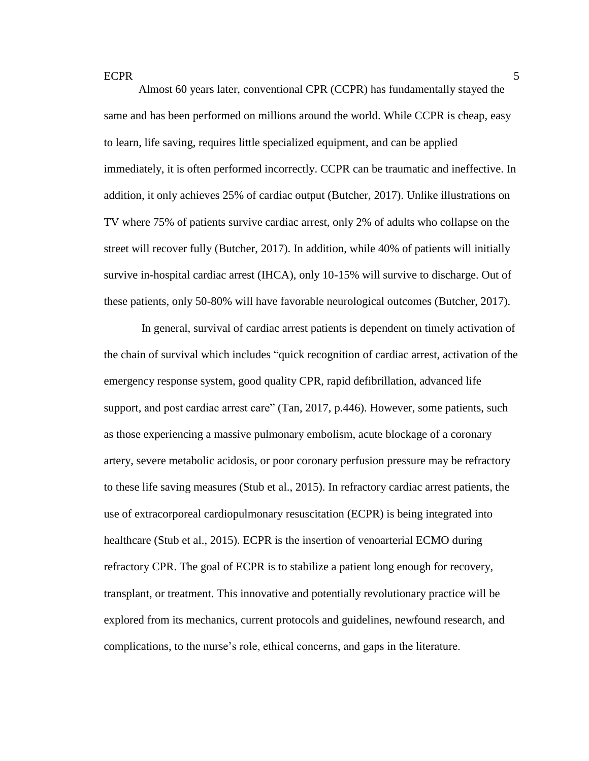Almost 60 years later, conventional CPR (CCPR) has fundamentally stayed the same and has been performed on millions around the world. While CCPR is cheap, easy to learn, life saving, requires little specialized equipment, and can be applied immediately, it is often performed incorrectly. CCPR can be traumatic and ineffective. In addition, it only achieves 25% of cardiac output (Butcher, 2017). Unlike illustrations on TV where 75% of patients survive cardiac arrest, only 2% of adults who collapse on the street will recover fully (Butcher, 2017). In addition, while 40% of patients will initially survive in-hospital cardiac arrest (IHCA), only 10-15% will survive to discharge. Out of these patients, only 50-80% will have favorable neurological outcomes (Butcher, 2017).

In general, survival of cardiac arrest patients is dependent on timely activation of the chain of survival which includes "quick recognition of cardiac arrest, activation of the emergency response system, good quality CPR, rapid defibrillation, advanced life support, and post cardiac arrest care" (Tan, 2017, p.446). However, some patients, such as those experiencing a massive pulmonary embolism, acute blockage of a coronary artery, severe metabolic acidosis, or poor coronary perfusion pressure may be refractory to these life saving measures (Stub et al., 2015). In refractory cardiac arrest patients, the use of extracorporeal cardiopulmonary resuscitation (ECPR) is being integrated into healthcare (Stub et al., 2015). ECPR is the insertion of venoarterial ECMO during refractory CPR. The goal of ECPR is to stabilize a patient long enough for recovery, transplant, or treatment. This innovative and potentially revolutionary practice will be explored from its mechanics, current protocols and guidelines, newfound research, and complications, to the nurse's role, ethical concerns, and gaps in the literature.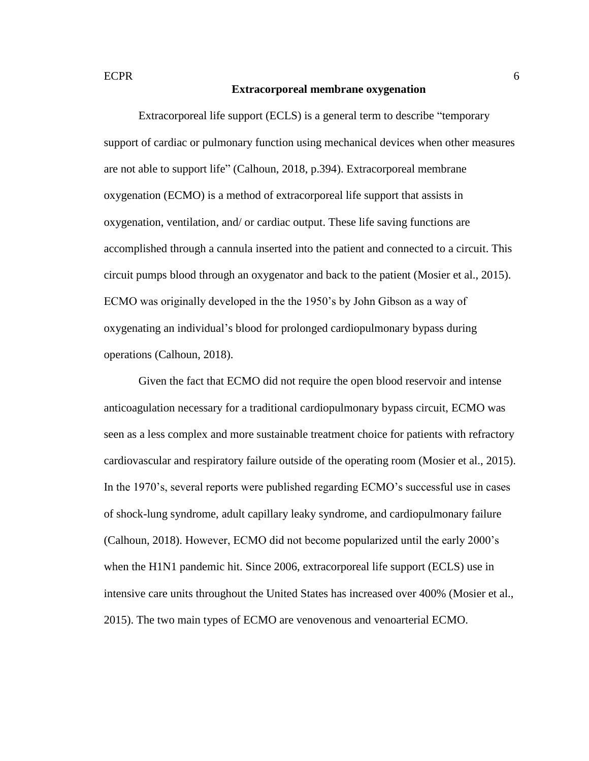#### **Extracorporeal membrane oxygenation**

Extracorporeal life support (ECLS) is a general term to describe "temporary support of cardiac or pulmonary function using mechanical devices when other measures are not able to support life" (Calhoun, 2018, p.394). Extracorporeal membrane oxygenation (ECMO) is a method of extracorporeal life support that assists in oxygenation, ventilation, and/ or cardiac output. These life saving functions are accomplished through a cannula inserted into the patient and connected to a circuit. This circuit pumps blood through an oxygenator and back to the patient (Mosier et al., 2015). ECMO was originally developed in the the 1950's by John Gibson as a way of oxygenating an individual's blood for prolonged cardiopulmonary bypass during operations (Calhoun, 2018).

Given the fact that ECMO did not require the open blood reservoir and intense anticoagulation necessary for a traditional cardiopulmonary bypass circuit, ECMO was seen as a less complex and more sustainable treatment choice for patients with refractory cardiovascular and respiratory failure outside of the operating room (Mosier et al., 2015). In the 1970's, several reports were published regarding ECMO's successful use in cases of shock-lung syndrome, adult capillary leaky syndrome, and cardiopulmonary failure (Calhoun, 2018). However, ECMO did not become popularized until the early 2000's when the H1N1 pandemic hit. Since 2006, extracorporeal life support (ECLS) use in intensive care units throughout the United States has increased over 400% (Mosier et al., 2015). The two main types of ECMO are venovenous and venoarterial ECMO.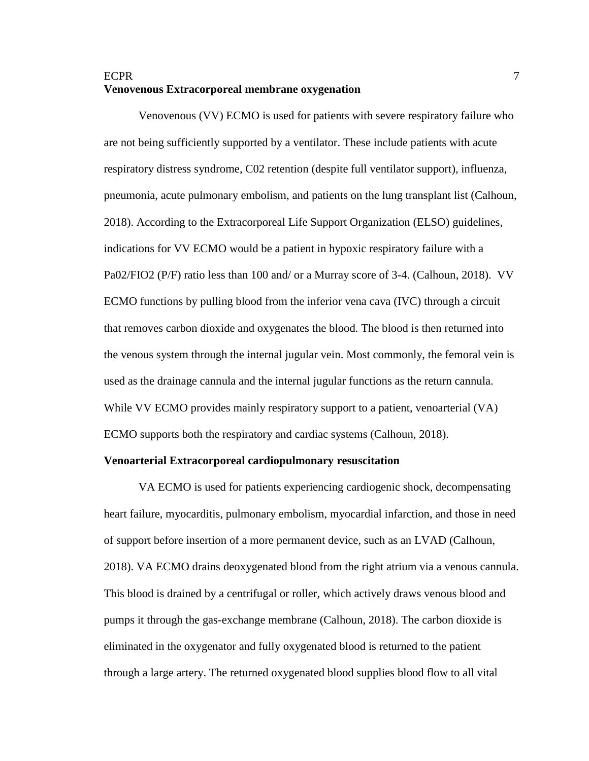# ECPR 7 **Venovenous Extracorporeal membrane oxygenation**

Venovenous (VV) ECMO is used for patients with severe respiratory failure who are not being sufficiently supported by a ventilator. These include patients with acute respiratory distress syndrome, C02 retention (despite full ventilator support), influenza, pneumonia, acute pulmonary embolism, and patients on the lung transplant list (Calhoun, 2018). According to the Extracorporeal Life Support Organization (ELSO) guidelines, indications for VV ECMO would be a patient in hypoxic respiratory failure with a Pa02/FIO2 (P/F) ratio less than 100 and/ or a Murray score of 3-4. (Calhoun, 2018). VV ECMO functions by pulling blood from the inferior vena cava (IVC) through a circuit that removes carbon dioxide and oxygenates the blood. The blood is then returned into the venous system through the internal jugular vein. Most commonly, the femoral vein is used as the drainage cannula and the internal jugular functions as the return cannula. While VV ECMO provides mainly respiratory support to a patient, venoarterial (VA) ECMO supports both the respiratory and cardiac systems (Calhoun, 2018).

#### **Venoarterial Extracorporeal cardiopulmonary resuscitation**

VA ECMO is used for patients experiencing cardiogenic shock, decompensating heart failure, myocarditis, pulmonary embolism, myocardial infarction, and those in need of support before insertion of a more permanent device, such as an LVAD (Calhoun, 2018). VA ECMO drains deoxygenated blood from the right atrium via a venous cannula. This blood is drained by a centrifugal or roller, which actively draws venous blood and pumps it through the gas-exchange membrane (Calhoun, 2018). The carbon dioxide is eliminated in the oxygenator and fully oxygenated blood is returned to the patient through a large artery. The returned oxygenated blood supplies blood flow to all vital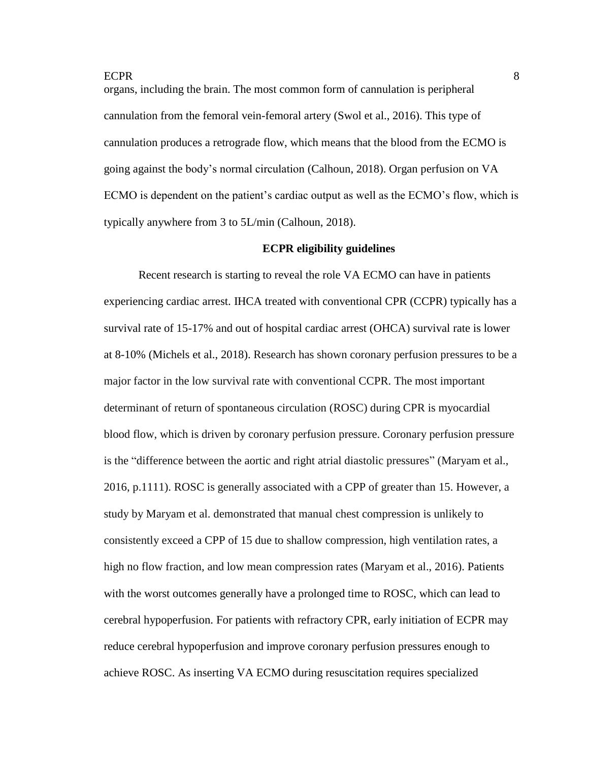organs, including the brain. The most common form of cannulation is peripheral cannulation from the femoral vein-femoral artery (Swol et al., 2016). This type of cannulation produces a retrograde flow, which means that the blood from the ECMO is going against the body's normal circulation (Calhoun, 2018). Organ perfusion on VA ECMO is dependent on the patient's cardiac output as well as the ECMO's flow, which is typically anywhere from 3 to 5L/min (Calhoun, 2018).

#### **ECPR eligibility guidelines**

Recent research is starting to reveal the role VA ECMO can have in patients experiencing cardiac arrest. IHCA treated with conventional CPR (CCPR) typically has a survival rate of 15-17% and out of hospital cardiac arrest (OHCA) survival rate is lower at 8-10% (Michels et al., 2018). Research has shown coronary perfusion pressures to be a major factor in the low survival rate with conventional CCPR. The most important determinant of return of spontaneous circulation (ROSC) during CPR is myocardial blood flow, which is driven by coronary perfusion pressure. Coronary perfusion pressure is the "difference between the aortic and right atrial diastolic pressures" (Maryam et al., 2016, p.1111). ROSC is generally associated with a CPP of greater than 15. However, a study by Maryam et al. demonstrated that manual chest compression is unlikely to consistently exceed a CPP of 15 due to shallow compression, high ventilation rates, a high no flow fraction, and low mean compression rates (Maryam et al., 2016). Patients with the worst outcomes generally have a prolonged time to ROSC, which can lead to cerebral hypoperfusion. For patients with refractory CPR, early initiation of ECPR may reduce cerebral hypoperfusion and improve coronary perfusion pressures enough to achieve ROSC. As inserting VA ECMO during resuscitation requires specialized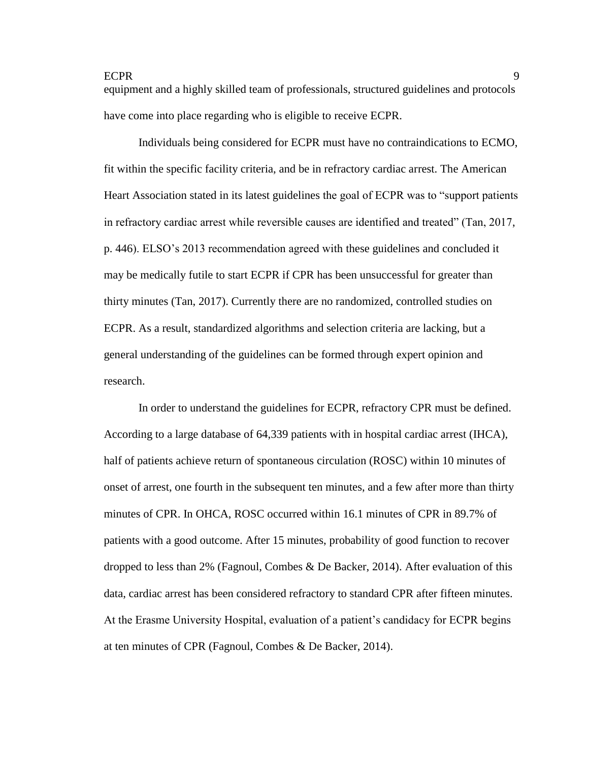equipment and a highly skilled team of professionals, structured guidelines and protocols have come into place regarding who is eligible to receive ECPR.

Individuals being considered for ECPR must have no contraindications to ECMO, fit within the specific facility criteria, and be in refractory cardiac arrest. The American Heart Association stated in its latest guidelines the goal of ECPR was to "support patients in refractory cardiac arrest while reversible causes are identified and treated" (Tan, 2017, p. 446). ELSO's 2013 recommendation agreed with these guidelines and concluded it may be medically futile to start ECPR if CPR has been unsuccessful for greater than thirty minutes (Tan, 2017). Currently there are no randomized, controlled studies on ECPR. As a result, standardized algorithms and selection criteria are lacking, but a general understanding of the guidelines can be formed through expert opinion and research.

In order to understand the guidelines for ECPR, refractory CPR must be defined. According to a large database of 64,339 patients with in hospital cardiac arrest (IHCA), half of patients achieve return of spontaneous circulation (ROSC) within 10 minutes of onset of arrest, one fourth in the subsequent ten minutes, and a few after more than thirty minutes of CPR. In OHCA, ROSC occurred within 16.1 minutes of CPR in 89.7% of patients with a good outcome. After 15 minutes, probability of good function to recover dropped to less than 2% (Fagnoul, Combes & De Backer, 2014). After evaluation of this data, cardiac arrest has been considered refractory to standard CPR after fifteen minutes. At the Erasme University Hospital, evaluation of a patient's candidacy for ECPR begins at ten minutes of CPR (Fagnoul, Combes & De Backer, 2014).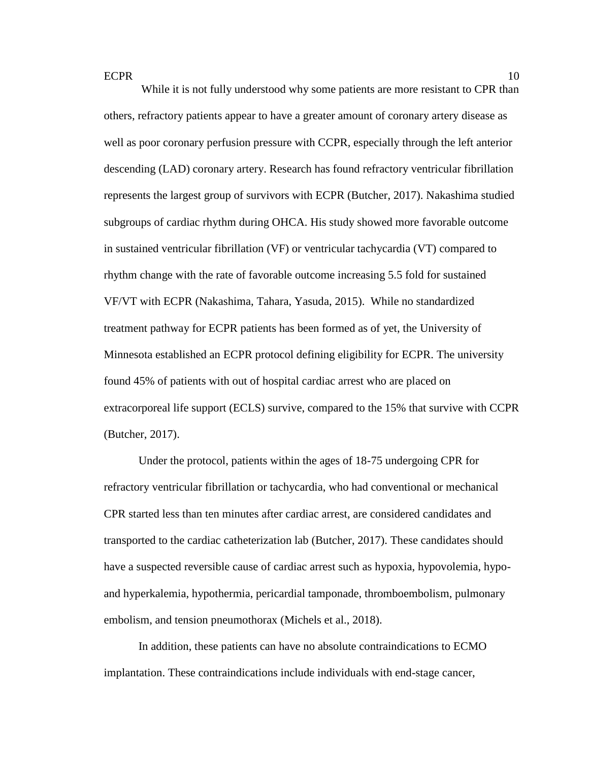While it is not fully understood why some patients are more resistant to CPR than others, refractory patients appear to have a greater amount of coronary artery disease as well as poor coronary perfusion pressure with CCPR, especially through the left anterior descending (LAD) coronary artery. Research has found refractory ventricular fibrillation represents the largest group of survivors with ECPR (Butcher, 2017). Nakashima studied subgroups of cardiac rhythm during OHCA. His study showed more favorable outcome in sustained ventricular fibrillation (VF) or ventricular tachycardia (VT) compared to rhythm change with the rate of favorable outcome increasing 5.5 fold for sustained VF/VT with ECPR (Nakashima, Tahara, Yasuda, 2015). While no standardized treatment pathway for ECPR patients has been formed as of yet, the University of Minnesota established an ECPR protocol defining eligibility for ECPR. The university found 45% of patients with out of hospital cardiac arrest who are placed on extracorporeal life support (ECLS) survive, compared to the 15% that survive with CCPR (Butcher, 2017).

Under the protocol, patients within the ages of 18-75 undergoing CPR for refractory ventricular fibrillation or tachycardia, who had conventional or mechanical CPR started less than ten minutes after cardiac arrest, are considered candidates and transported to the cardiac catheterization lab (Butcher, 2017). These candidates should have a suspected reversible cause of cardiac arrest such as hypoxia, hypovolemia, hypoand hyperkalemia, hypothermia, pericardial tamponade, thromboembolism, pulmonary embolism, and tension pneumothorax (Michels et al., 2018).

In addition, these patients can have no absolute contraindications to ECMO implantation. These contraindications include individuals with end-stage cancer,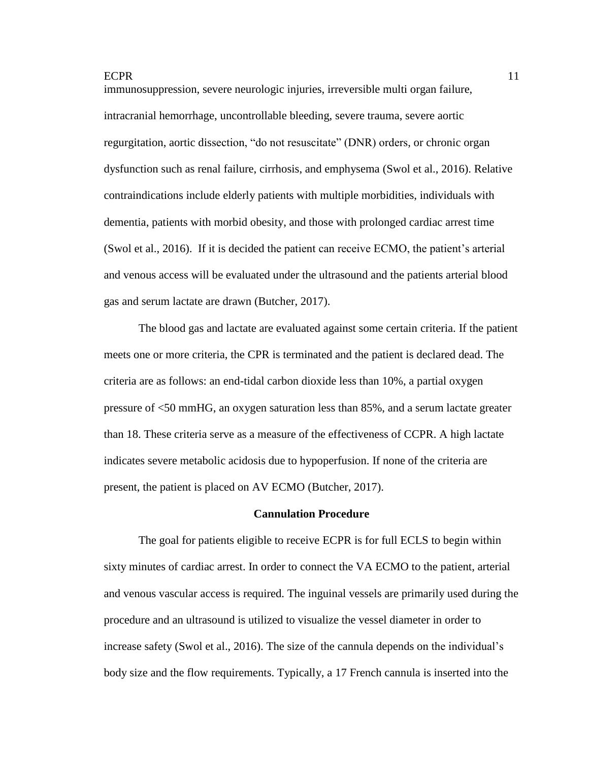immunosuppression, severe neurologic injuries, irreversible multi organ failure, intracranial hemorrhage, uncontrollable bleeding, severe trauma, severe aortic regurgitation, aortic dissection, "do not resuscitate" (DNR) orders, or chronic organ dysfunction such as renal failure, cirrhosis, and emphysema (Swol et al., 2016). Relative contraindications include elderly patients with multiple morbidities, individuals with dementia, patients with morbid obesity, and those with prolonged cardiac arrest time (Swol et al., 2016). If it is decided the patient can receive ECMO, the patient's arterial and venous access will be evaluated under the ultrasound and the patients arterial blood gas and serum lactate are drawn (Butcher, 2017).

The blood gas and lactate are evaluated against some certain criteria. If the patient meets one or more criteria, the CPR is terminated and the patient is declared dead. The criteria are as follows: an end-tidal carbon dioxide less than 10%, a partial oxygen pressure of <50 mmHG, an oxygen saturation less than 85%, and a serum lactate greater than 18. These criteria serve as a measure of the effectiveness of CCPR. A high lactate indicates severe metabolic acidosis due to hypoperfusion. If none of the criteria are present, the patient is placed on AV ECMO (Butcher, 2017).

## **Cannulation Procedure**

The goal for patients eligible to receive ECPR is for full ECLS to begin within sixty minutes of cardiac arrest. In order to connect the VA ECMO to the patient, arterial and venous vascular access is required. The inguinal vessels are primarily used during the procedure and an ultrasound is utilized to visualize the vessel diameter in order to increase safety (Swol et al., 2016). The size of the cannula depends on the individual's body size and the flow requirements. Typically, a 17 French cannula is inserted into the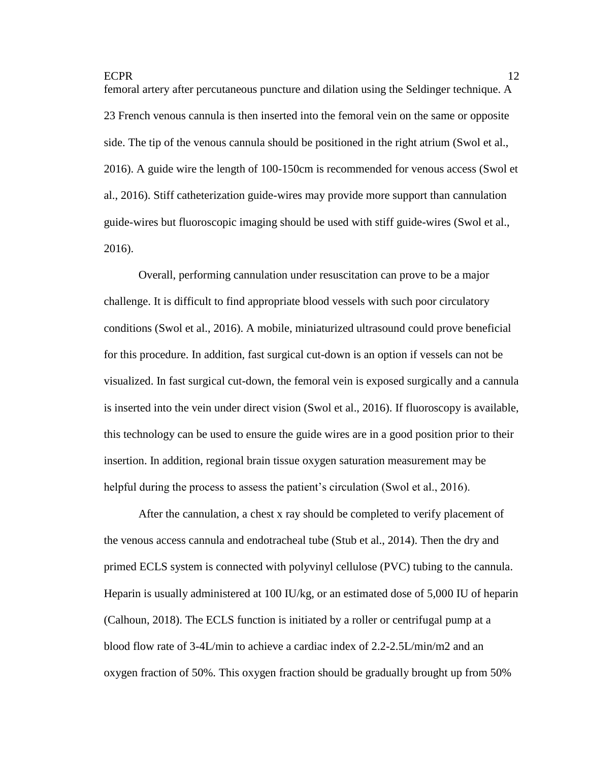femoral artery after percutaneous puncture and dilation using the Seldinger technique. A 23 French venous cannula is then inserted into the femoral vein on the same or opposite side. The tip of the venous cannula should be positioned in the right atrium (Swol et al., 2016). A guide wire the length of 100-150cm is recommended for venous access (Swol et al., 2016). Stiff catheterization guide-wires may provide more support than cannulation guide-wires but fluoroscopic imaging should be used with stiff guide-wires (Swol et al., 2016).

Overall, performing cannulation under resuscitation can prove to be a major challenge. It is difficult to find appropriate blood vessels with such poor circulatory conditions (Swol et al., 2016). A mobile, miniaturized ultrasound could prove beneficial for this procedure. In addition, fast surgical cut-down is an option if vessels can not be visualized. In fast surgical cut-down, the femoral vein is exposed surgically and a cannula is inserted into the vein under direct vision (Swol et al., 2016). If fluoroscopy is available, this technology can be used to ensure the guide wires are in a good position prior to their insertion. In addition, regional brain tissue oxygen saturation measurement may be helpful during the process to assess the patient's circulation (Swol et al., 2016).

After the cannulation, a chest x ray should be completed to verify placement of the venous access cannula and endotracheal tube (Stub et al., 2014). Then the dry and primed ECLS system is connected with polyvinyl cellulose (PVC) tubing to the cannula. Heparin is usually administered at 100 IU/kg, or an estimated dose of 5,000 IU of heparin (Calhoun, 2018). The ECLS function is initiated by a roller or centrifugal pump at a blood flow rate of 3-4L/min to achieve a cardiac index of 2.2-2.5L/min/m2 and an oxygen fraction of 50%. This oxygen fraction should be gradually brought up from 50%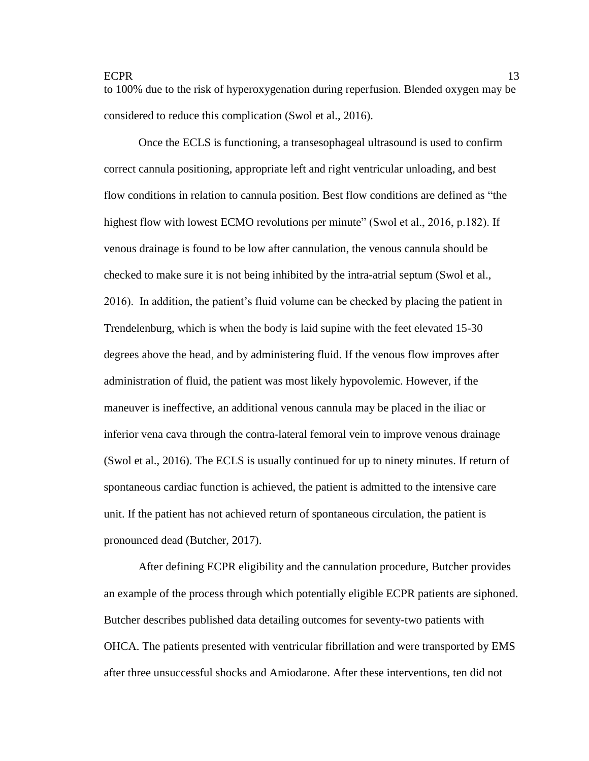to 100% due to the risk of hyperoxygenation during reperfusion. Blended oxygen may be considered to reduce this complication (Swol et al., 2016).

Once the ECLS is functioning, a transesophageal ultrasound is used to confirm correct cannula positioning, appropriate left and right ventricular unloading, and best flow conditions in relation to cannula position. Best flow conditions are defined as "the highest flow with lowest ECMO revolutions per minute" (Swol et al., 2016, p.182). If venous drainage is found to be low after cannulation, the venous cannula should be checked to make sure it is not being inhibited by the intra-atrial septum (Swol et al., 2016). In addition, the patient's fluid volume can be checked by placing the patient in Trendelenburg, which is when the body is laid supine with the feet elevated 15-30 degrees above the head, and by administering fluid. If the venous flow improves after administration of fluid, the patient was most likely hypovolemic. However, if the maneuver is ineffective, an additional venous cannula may be placed in the iliac or inferior vena cava through the contra-lateral femoral vein to improve venous drainage (Swol et al., 2016). The ECLS is usually continued for up to ninety minutes. If return of spontaneous cardiac function is achieved, the patient is admitted to the intensive care unit. If the patient has not achieved return of spontaneous circulation, the patient is pronounced dead (Butcher, 2017).

After defining ECPR eligibility and the cannulation procedure, Butcher provides an example of the process through which potentially eligible ECPR patients are siphoned. Butcher describes published data detailing outcomes for seventy-two patients with OHCA. The patients presented with ventricular fibrillation and were transported by EMS after three unsuccessful shocks and Amiodarone. After these interventions, ten did not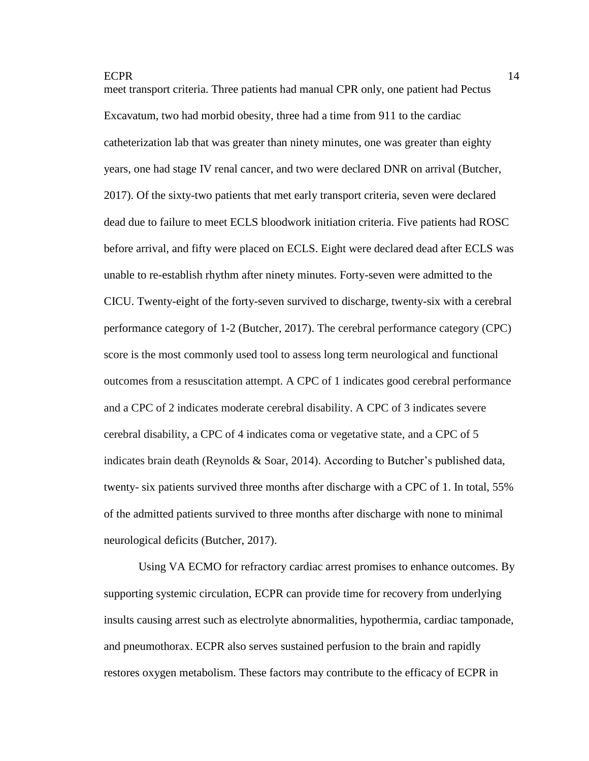meet transport criteria. Three patients had manual CPR only, one patient had Pectus Excavatum, two had morbid obesity, three had a time from 911 to the cardiac catheterization lab that was greater than ninety minutes, one was greater than eighty years, one had stage IV renal cancer, and two were declared DNR on arrival (Butcher, 2017). Of the sixty-two patients that met early transport criteria, seven were declared dead due to failure to meet ECLS bloodwork initiation criteria. Five patients had ROSC before arrival, and fifty were placed on ECLS. Eight were declared dead after ECLS was unable to re-establish rhythm after ninety minutes. Forty-seven were admitted to the CICU. Twenty-eight of the forty-seven survived to discharge, twenty-six with a cerebral performance category of 1-2 (Butcher, 2017). The cerebral performance category (CPC) score is the most commonly used tool to assess long term neurological and functional outcomes from a resuscitation attempt. A CPC of 1 indicates good cerebral performance and a CPC of 2 indicates moderate cerebral disability. A CPC of 3 indicates severe cerebral disability, a CPC of 4 indicates coma or vegetative state, and a CPC of 5 indicates brain death (Reynolds  $\&$  Soar, 2014). According to Butcher's published data, twenty- six patients survived three months after discharge with a CPC of 1. In total, 55% of the admitted patients survived to three months after discharge with none to minimal neurological deficits (Butcher, 2017).

Using VA ECMO for refractory cardiac arrest promises to enhance outcomes. By supporting systemic circulation, ECPR can provide time for recovery from underlying insults causing arrest such as electrolyte abnormalities, hypothermia, cardiac tamponade, and pneumothorax. ECPR also serves sustained perfusion to the brain and rapidly restores oxygen metabolism. These factors may contribute to the efficacy of ECPR in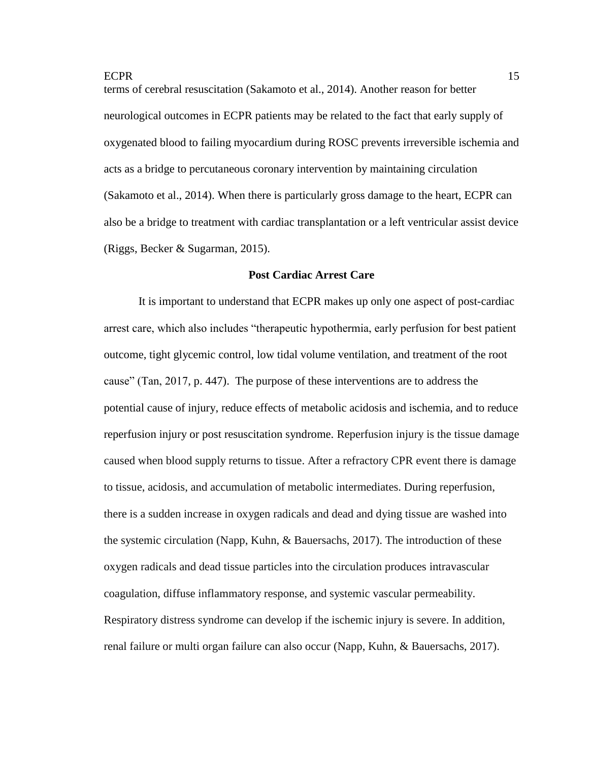terms of cerebral resuscitation (Sakamoto et al., 2014). Another reason for better neurological outcomes in ECPR patients may be related to the fact that early supply of oxygenated blood to failing myocardium during ROSC prevents irreversible ischemia and acts as a bridge to percutaneous coronary intervention by maintaining circulation (Sakamoto et al., 2014). When there is particularly gross damage to the heart, ECPR can also be a bridge to treatment with cardiac transplantation or a left ventricular assist device (Riggs, Becker & Sugarman, 2015).

#### **Post Cardiac Arrest Care**

It is important to understand that ECPR makes up only one aspect of post-cardiac arrest care, which also includes "therapeutic hypothermia, early perfusion for best patient outcome, tight glycemic control, low tidal volume ventilation, and treatment of the root cause" (Tan, 2017, p. 447). The purpose of these interventions are to address the potential cause of injury, reduce effects of metabolic acidosis and ischemia, and to reduce reperfusion injury or post resuscitation syndrome. Reperfusion injury is the tissue damage caused when blood supply returns to tissue. After a refractory CPR event there is damage to tissue, acidosis, and accumulation of metabolic intermediates. During reperfusion, there is a sudden increase in oxygen radicals and dead and dying tissue are washed into the systemic circulation (Napp, Kuhn, & Bauersachs, 2017). The introduction of these oxygen radicals and dead tissue particles into the circulation produces intravascular coagulation, diffuse inflammatory response, and systemic vascular permeability. Respiratory distress syndrome can develop if the ischemic injury is severe. In addition, renal failure or multi organ failure can also occur (Napp, Kuhn, & Bauersachs, 2017).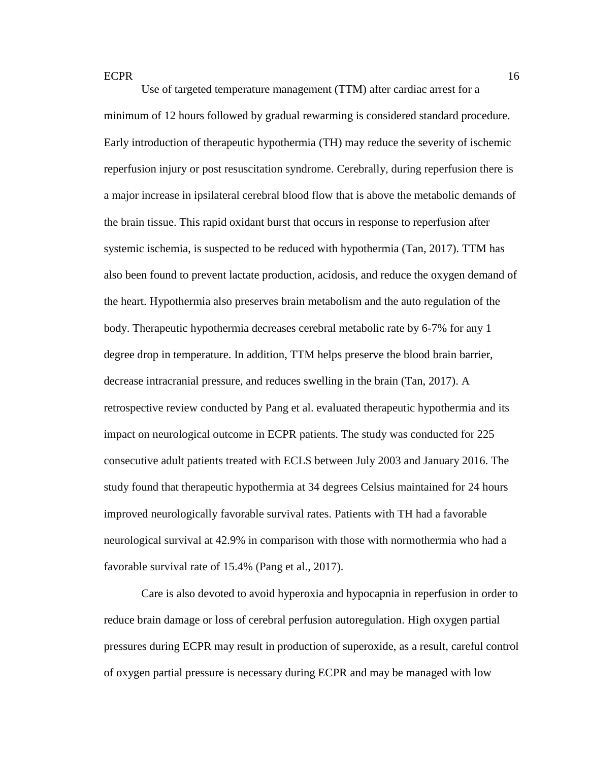Use of targeted temperature management (TTM) after cardiac arrest for a minimum of 12 hours followed by gradual rewarming is considered standard procedure. Early introduction of therapeutic hypothermia (TH) may reduce the severity of ischemic reperfusion injury or post resuscitation syndrome. Cerebrally, during reperfusion there is a major increase in ipsilateral cerebral blood flow that is above the metabolic demands of the brain tissue. This rapid oxidant burst that occurs in response to reperfusion after systemic ischemia, is suspected to be reduced with hypothermia (Tan, 2017). TTM has also been found to prevent lactate production, acidosis, and reduce the oxygen demand of the heart. Hypothermia also preserves brain metabolism and the auto regulation of the body. Therapeutic hypothermia decreases cerebral metabolic rate by 6-7% for any 1 degree drop in temperature. In addition, TTM helps preserve the blood brain barrier, decrease intracranial pressure, and reduces swelling in the brain (Tan, 2017). A retrospective review conducted by Pang et al. evaluated therapeutic hypothermia and its impact on neurological outcome in ECPR patients. The study was conducted for 225 consecutive adult patients treated with ECLS between July 2003 and January 2016. The study found that therapeutic hypothermia at 34 degrees Celsius maintained for 24 hours improved neurologically favorable survival rates. Patients with TH had a favorable neurological survival at 42.9% in comparison with those with normothermia who had a favorable survival rate of 15.4% (Pang et al., 2017).

Care is also devoted to avoid hyperoxia and hypocapnia in reperfusion in order to reduce brain damage or loss of cerebral perfusion autoregulation. High oxygen partial pressures during ECPR may result in production of superoxide, as a result, careful control of oxygen partial pressure is necessary during ECPR and may be managed with low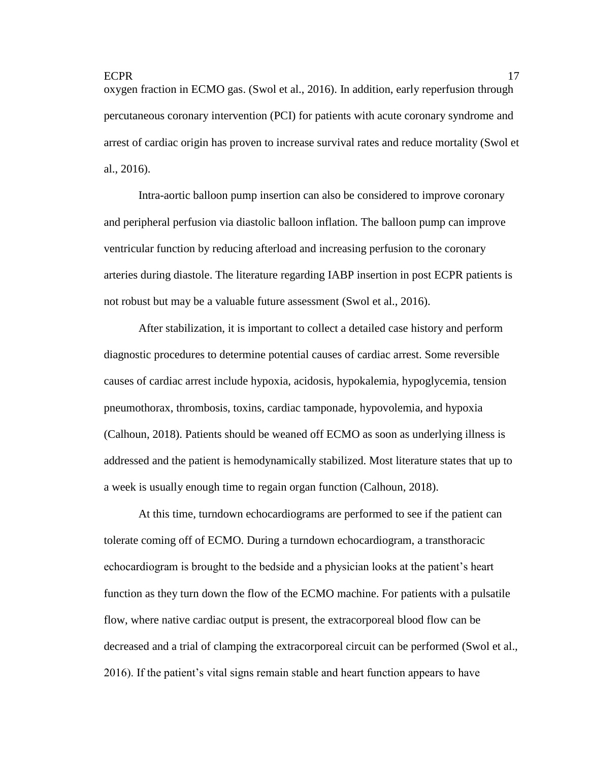oxygen fraction in ECMO gas. (Swol et al., 2016). In addition, early reperfusion through percutaneous coronary intervention (PCI) for patients with acute coronary syndrome and arrest of cardiac origin has proven to increase survival rates and reduce mortality (Swol et al., 2016).

Intra-aortic balloon pump insertion can also be considered to improve coronary and peripheral perfusion via diastolic balloon inflation. The balloon pump can improve ventricular function by reducing afterload and increasing perfusion to the coronary arteries during diastole. The literature regarding IABP insertion in post ECPR patients is not robust but may be a valuable future assessment (Swol et al., 2016).

After stabilization, it is important to collect a detailed case history and perform diagnostic procedures to determine potential causes of cardiac arrest. Some reversible causes of cardiac arrest include hypoxia, acidosis, hypokalemia, hypoglycemia, tension pneumothorax, thrombosis, toxins, cardiac tamponade, hypovolemia, and hypoxia (Calhoun, 2018). Patients should be weaned off ECMO as soon as underlying illness is addressed and the patient is hemodynamically stabilized. Most literature states that up to a week is usually enough time to regain organ function (Calhoun, 2018).

At this time, turndown echocardiograms are performed to see if the patient can tolerate coming off of ECMO. During a turndown echocardiogram, a transthoracic echocardiogram is brought to the bedside and a physician looks at the patient's heart function as they turn down the flow of the ECMO machine. For patients with a pulsatile flow, where native cardiac output is present, the extracorporeal blood flow can be decreased and a trial of clamping the extracorporeal circuit can be performed (Swol et al., 2016). If the patient's vital signs remain stable and heart function appears to have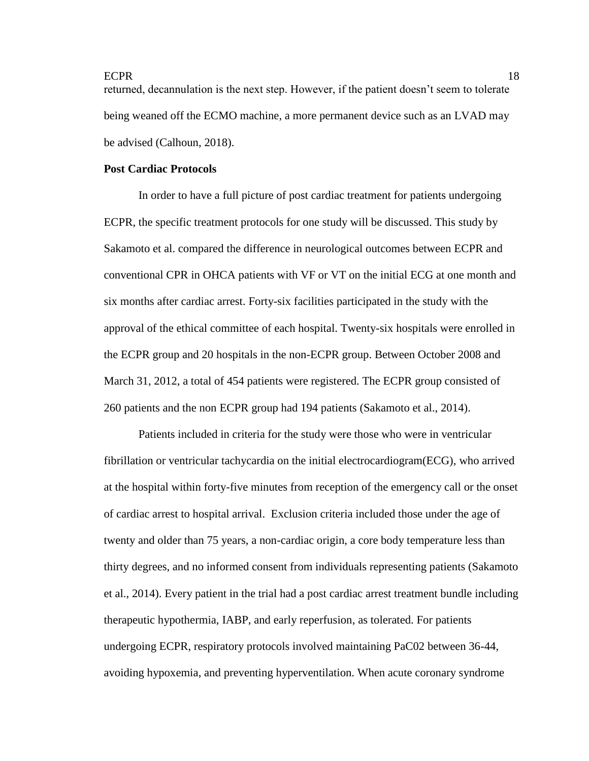returned, decannulation is the next step. However, if the patient doesn't seem to tolerate being weaned off the ECMO machine, a more permanent device such as an LVAD may be advised (Calhoun, 2018).

# **Post Cardiac Protocols**

In order to have a full picture of post cardiac treatment for patients undergoing ECPR, the specific treatment protocols for one study will be discussed. This study by Sakamoto et al. compared the difference in neurological outcomes between ECPR and conventional CPR in OHCA patients with VF or VT on the initial ECG at one month and six months after cardiac arrest. Forty-six facilities participated in the study with the approval of the ethical committee of each hospital. Twenty-six hospitals were enrolled in the ECPR group and 20 hospitals in the non-ECPR group. Between October 2008 and March 31, 2012, a total of 454 patients were registered. The ECPR group consisted of 260 patients and the non ECPR group had 194 patients (Sakamoto et al., 2014).

Patients included in criteria for the study were those who were in ventricular fibrillation or ventricular tachycardia on the initial electrocardiogram(ECG), who arrived at the hospital within forty-five minutes from reception of the emergency call or the onset of cardiac arrest to hospital arrival. Exclusion criteria included those under the age of twenty and older than 75 years, a non-cardiac origin, a core body temperature less than thirty degrees, and no informed consent from individuals representing patients (Sakamoto et al., 2014). Every patient in the trial had a post cardiac arrest treatment bundle including therapeutic hypothermia, IABP, and early reperfusion, as tolerated. For patients undergoing ECPR, respiratory protocols involved maintaining PaC02 between 36-44, avoiding hypoxemia, and preventing hyperventilation. When acute coronary syndrome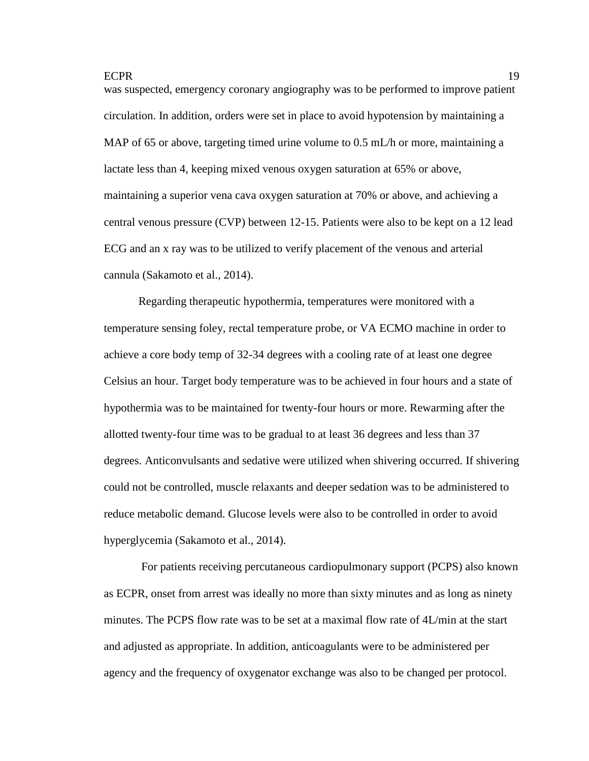was suspected, emergency coronary angiography was to be performed to improve patient circulation. In addition, orders were set in place to avoid hypotension by maintaining a MAP of 65 or above, targeting timed urine volume to 0.5 mL/h or more, maintaining a lactate less than 4, keeping mixed venous oxygen saturation at 65% or above, maintaining a superior vena cava oxygen saturation at 70% or above, and achieving a central venous pressure (CVP) between 12-15. Patients were also to be kept on a 12 lead ECG and an x ray was to be utilized to verify placement of the venous and arterial cannula (Sakamoto et al., 2014).

Regarding therapeutic hypothermia, temperatures were monitored with a temperature sensing foley, rectal temperature probe, or VA ECMO machine in order to achieve a core body temp of 32-34 degrees with a cooling rate of at least one degree Celsius an hour. Target body temperature was to be achieved in four hours and a state of hypothermia was to be maintained for twenty-four hours or more. Rewarming after the allotted twenty-four time was to be gradual to at least 36 degrees and less than 37 degrees. Anticonvulsants and sedative were utilized when shivering occurred. If shivering could not be controlled, muscle relaxants and deeper sedation was to be administered to reduce metabolic demand. Glucose levels were also to be controlled in order to avoid hyperglycemia (Sakamoto et al., 2014).

For patients receiving percutaneous cardiopulmonary support (PCPS) also known as ECPR, onset from arrest was ideally no more than sixty minutes and as long as ninety minutes. The PCPS flow rate was to be set at a maximal flow rate of 4L/min at the start and adjusted as appropriate. In addition, anticoagulants were to be administered per agency and the frequency of oxygenator exchange was also to be changed per protocol.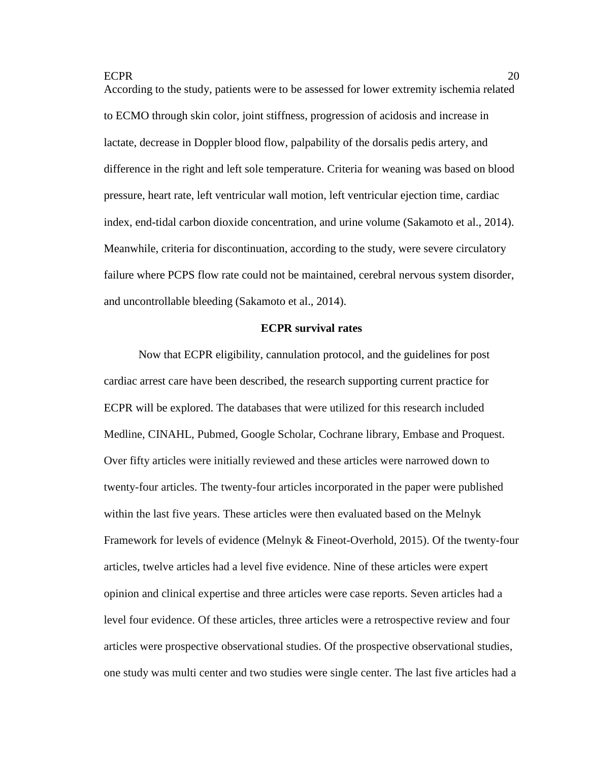According to the study, patients were to be assessed for lower extremity ischemia related to ECMO through skin color, joint stiffness, progression of acidosis and increase in lactate, decrease in Doppler blood flow, palpability of the dorsalis pedis artery, and difference in the right and left sole temperature. Criteria for weaning was based on blood pressure, heart rate, left ventricular wall motion, left ventricular ejection time, cardiac index, end-tidal carbon dioxide concentration, and urine volume (Sakamoto et al., 2014). Meanwhile, criteria for discontinuation, according to the study, were severe circulatory failure where PCPS flow rate could not be maintained, cerebral nervous system disorder, and uncontrollable bleeding (Sakamoto et al., 2014).

## **ECPR survival rates**

Now that ECPR eligibility, cannulation protocol, and the guidelines for post cardiac arrest care have been described, the research supporting current practice for ECPR will be explored. The databases that were utilized for this research included Medline, CINAHL, Pubmed, Google Scholar, Cochrane library, Embase and Proquest. Over fifty articles were initially reviewed and these articles were narrowed down to twenty-four articles. The twenty-four articles incorporated in the paper were published within the last five years. These articles were then evaluated based on the Melnyk Framework for levels of evidence (Melnyk & Fineot-Overhold, 2015). Of the twenty-four articles, twelve articles had a level five evidence. Nine of these articles were expert opinion and clinical expertise and three articles were case reports. Seven articles had a level four evidence. Of these articles, three articles were a retrospective review and four articles were prospective observational studies. Of the prospective observational studies, one study was multi center and two studies were single center. The last five articles had a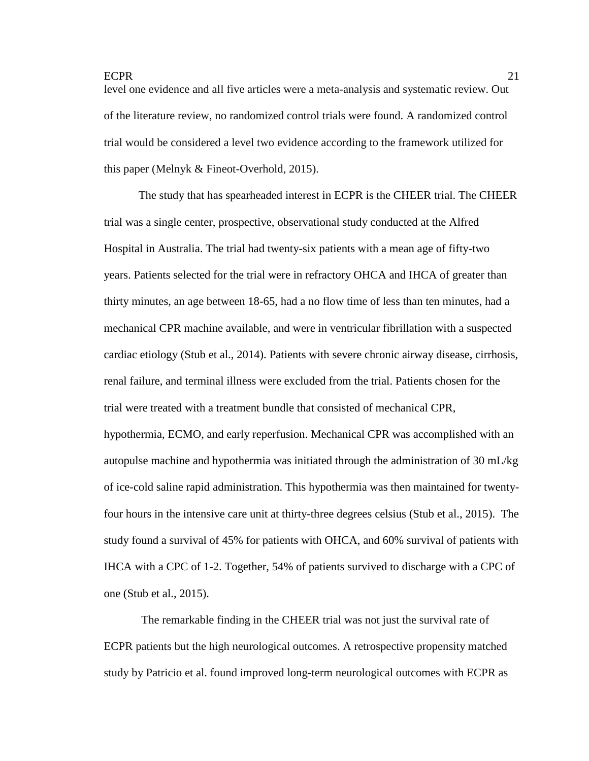level one evidence and all five articles were a meta-analysis and systematic review. Out of the literature review, no randomized control trials were found. A randomized control trial would be considered a level two evidence according to the framework utilized for this paper (Melnyk & Fineot-Overhold, 2015).

The study that has spearheaded interest in ECPR is the CHEER trial. The CHEER trial was a single center, prospective, observational study conducted at the Alfred Hospital in Australia. The trial had twenty-six patients with a mean age of fifty-two years. Patients selected for the trial were in refractory OHCA and IHCA of greater than thirty minutes, an age between 18-65, had a no flow time of less than ten minutes, had a mechanical CPR machine available, and were in ventricular fibrillation with a suspected cardiac etiology (Stub et al., 2014). Patients with severe chronic airway disease, cirrhosis, renal failure, and terminal illness were excluded from the trial. Patients chosen for the trial were treated with a treatment bundle that consisted of mechanical CPR, hypothermia, ECMO, and early reperfusion. Mechanical CPR was accomplished with an autopulse machine and hypothermia was initiated through the administration of 30 mL/kg of ice-cold saline rapid administration. This hypothermia was then maintained for twentyfour hours in the intensive care unit at thirty-three degrees celsius (Stub et al., 2015). The study found a survival of 45% for patients with OHCA, and 60% survival of patients with IHCA with a CPC of 1-2. Together, 54% of patients survived to discharge with a CPC of one (Stub et al., 2015).

The remarkable finding in the CHEER trial was not just the survival rate of ECPR patients but the high neurological outcomes. A retrospective propensity matched study by Patricio et al. found improved long-term neurological outcomes with ECPR as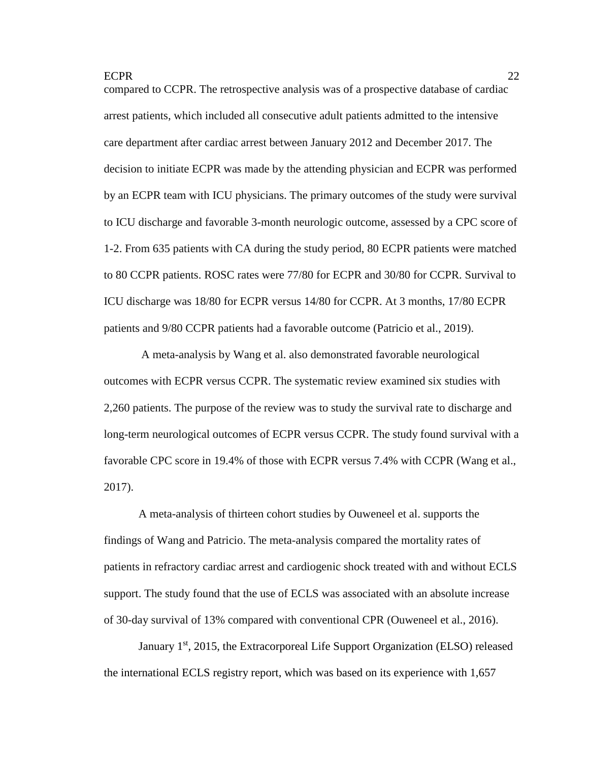compared to CCPR. The retrospective analysis was of a prospective database of cardiac arrest patients, which included all consecutive adult patients admitted to the intensive care department after cardiac arrest between January 2012 and December 2017. The decision to initiate ECPR was made by the attending physician and ECPR was performed by an ECPR team with ICU physicians. The primary outcomes of the study were survival to ICU discharge and favorable 3-month neurologic outcome, assessed by a CPC score of 1-2. From 635 patients with CA during the study period, 80 ECPR patients were matched to 80 CCPR patients. ROSC rates were 77/80 for ECPR and 30/80 for CCPR. Survival to ICU discharge was 18/80 for ECPR versus 14/80 for CCPR. At 3 months, 17/80 ECPR patients and 9/80 CCPR patients had a favorable outcome (Patricio et al., 2019).

A meta-analysis by Wang et al. also demonstrated favorable neurological outcomes with ECPR versus CCPR. The systematic review examined six studies with 2,260 patients. The purpose of the review was to study the survival rate to discharge and long-term neurological outcomes of ECPR versus CCPR. The study found survival with a favorable CPC score in 19.4% of those with ECPR versus 7.4% with CCPR (Wang et al., 2017).

A meta-analysis of thirteen cohort studies by Ouweneel et al. supports the findings of Wang and Patricio. The meta-analysis compared the mortality rates of patients in refractory cardiac arrest and cardiogenic shock treated with and without ECLS support. The study found that the use of ECLS was associated with an absolute increase of 30-day survival of 13% compared with conventional CPR (Ouweneel et al., 2016).

January  $1<sup>st</sup>$ , 2015, the Extracorporeal Life Support Organization (ELSO) released the international ECLS registry report, which was based on its experience with 1,657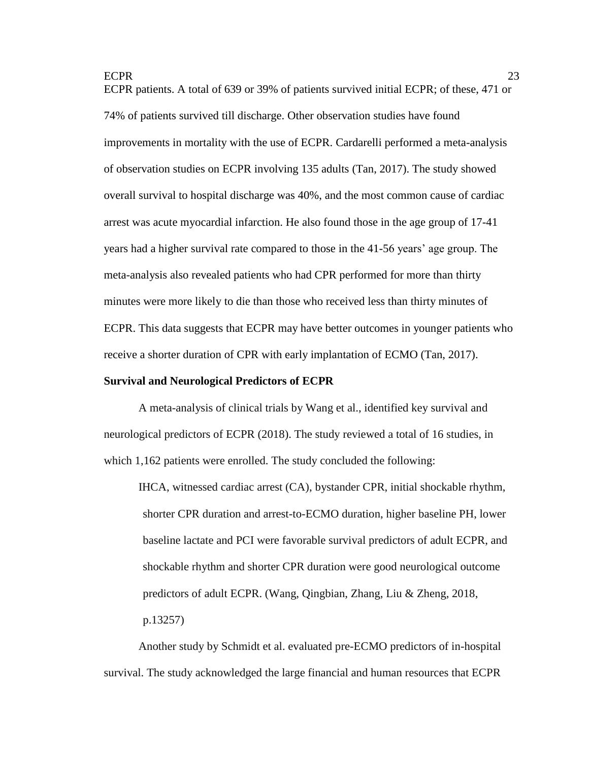ECPR patients. A total of 639 or 39% of patients survived initial ECPR; of these, 471 or 74% of patients survived till discharge. Other observation studies have found improvements in mortality with the use of ECPR. Cardarelli performed a meta-analysis of observation studies on ECPR involving 135 adults (Tan, 2017). The study showed overall survival to hospital discharge was 40%, and the most common cause of cardiac arrest was acute myocardial infarction. He also found those in the age group of 17-41 years had a higher survival rate compared to those in the 41-56 years' age group. The meta-analysis also revealed patients who had CPR performed for more than thirty minutes were more likely to die than those who received less than thirty minutes of ECPR. This data suggests that ECPR may have better outcomes in younger patients who receive a shorter duration of CPR with early implantation of ECMO (Tan, 2017).

#### **Survival and Neurological Predictors of ECPR**

A meta-analysis of clinical trials by Wang et al., identified key survival and neurological predictors of ECPR (2018). The study reviewed a total of 16 studies, in which 1,162 patients were enrolled. The study concluded the following:

IHCA, witnessed cardiac arrest (CA), bystander CPR, initial shockable rhythm, shorter CPR duration and arrest-to-ECMO duration, higher baseline PH, lower baseline lactate and PCI were favorable survival predictors of adult ECPR, and shockable rhythm and shorter CPR duration were good neurological outcome predictors of adult ECPR. (Wang, Qingbian, Zhang, Liu & Zheng, 2018, p.13257)

Another study by Schmidt et al. evaluated pre-ECMO predictors of in-hospital survival. The study acknowledged the large financial and human resources that ECPR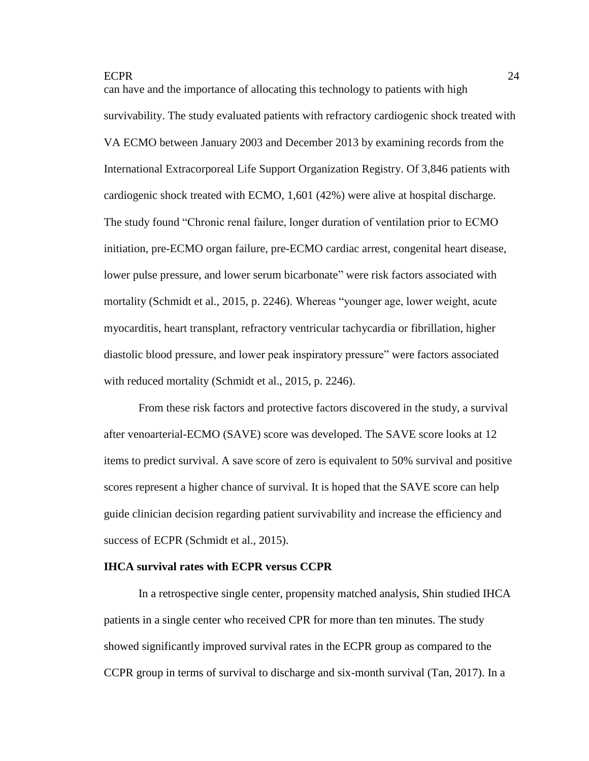can have and the importance of allocating this technology to patients with high survivability. The study evaluated patients with refractory cardiogenic shock treated with VA ECMO between January 2003 and December 2013 by examining records from the International Extracorporeal Life Support Organization Registry. Of 3,846 patients with cardiogenic shock treated with ECMO, 1,601 (42%) were alive at hospital discharge. The study found "Chronic renal failure, longer duration of ventilation prior to ECMO initiation, pre-ECMO organ failure, pre-ECMO cardiac arrest, congenital heart disease, lower pulse pressure, and lower serum bicarbonate" were risk factors associated with mortality (Schmidt et al., 2015, p. 2246). Whereas "younger age, lower weight, acute myocarditis, heart transplant, refractory ventricular tachycardia or fibrillation, higher diastolic blood pressure, and lower peak inspiratory pressure" were factors associated with reduced mortality (Schmidt et al., 2015, p. 2246).

From these risk factors and protective factors discovered in the study, a survival after venoarterial-ECMO (SAVE) score was developed. The SAVE score looks at 12 items to predict survival. A save score of zero is equivalent to 50% survival and positive scores represent a higher chance of survival. It is hoped that the SAVE score can help guide clinician decision regarding patient survivability and increase the efficiency and success of ECPR (Schmidt et al., 2015).

#### **IHCA survival rates with ECPR versus CCPR**

In a retrospective single center, propensity matched analysis, Shin studied IHCA patients in a single center who received CPR for more than ten minutes. The study showed significantly improved survival rates in the ECPR group as compared to the CCPR group in terms of survival to discharge and six-month survival (Tan, 2017). In a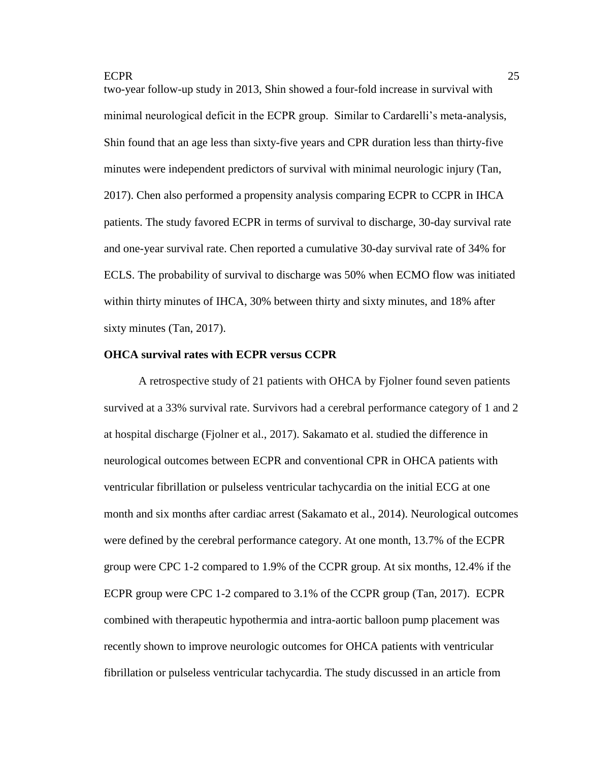two-year follow-up study in 2013, Shin showed a four-fold increase in survival with minimal neurological deficit in the ECPR group. Similar to Cardarelli's meta-analysis, Shin found that an age less than sixty-five years and CPR duration less than thirty-five minutes were independent predictors of survival with minimal neurologic injury (Tan, 2017). Chen also performed a propensity analysis comparing ECPR to CCPR in IHCA patients. The study favored ECPR in terms of survival to discharge, 30-day survival rate and one-year survival rate. Chen reported a cumulative 30-day survival rate of 34% for ECLS. The probability of survival to discharge was 50% when ECMO flow was initiated within thirty minutes of IHCA, 30% between thirty and sixty minutes, and 18% after sixty minutes (Tan, 2017).

#### **OHCA survival rates with ECPR versus CCPR**

A retrospective study of 21 patients with OHCA by Fjolner found seven patients survived at a 33% survival rate. Survivors had a cerebral performance category of 1 and 2 at hospital discharge (Fjolner et al., 2017). Sakamato et al. studied the difference in neurological outcomes between ECPR and conventional CPR in OHCA patients with ventricular fibrillation or pulseless ventricular tachycardia on the initial ECG at one month and six months after cardiac arrest (Sakamato et al., 2014). Neurological outcomes were defined by the cerebral performance category. At one month, 13.7% of the ECPR group were CPC 1-2 compared to 1.9% of the CCPR group. At six months, 12.4% if the ECPR group were CPC 1-2 compared to 3.1% of the CCPR group (Tan, 2017). ECPR combined with therapeutic hypothermia and intra-aortic balloon pump placement was recently shown to improve neurologic outcomes for OHCA patients with ventricular fibrillation or pulseless ventricular tachycardia. The study discussed in an article from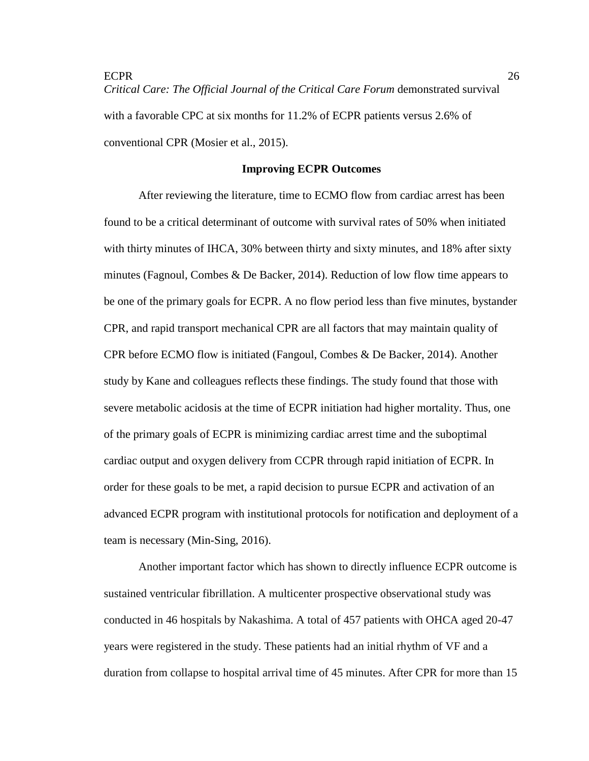ECPR 26 *Critical Care: The Official Journal of the Critical Care Forum* demonstrated survival with a favorable CPC at six months for 11.2% of ECPR patients versus 2.6% of conventional CPR (Mosier et al., 2015).

#### **Improving ECPR Outcomes**

After reviewing the literature, time to ECMO flow from cardiac arrest has been found to be a critical determinant of outcome with survival rates of 50% when initiated with thirty minutes of IHCA, 30% between thirty and sixty minutes, and 18% after sixty minutes (Fagnoul, Combes & De Backer, 2014). Reduction of low flow time appears to be one of the primary goals for ECPR. A no flow period less than five minutes, bystander CPR, and rapid transport mechanical CPR are all factors that may maintain quality of CPR before ECMO flow is initiated (Fangoul, Combes & De Backer, 2014). Another study by Kane and colleagues reflects these findings. The study found that those with severe metabolic acidosis at the time of ECPR initiation had higher mortality. Thus, one of the primary goals of ECPR is minimizing cardiac arrest time and the suboptimal cardiac output and oxygen delivery from CCPR through rapid initiation of ECPR. In order for these goals to be met, a rapid decision to pursue ECPR and activation of an advanced ECPR program with institutional protocols for notification and deployment of a team is necessary (Min-Sing, 2016).

Another important factor which has shown to directly influence ECPR outcome is sustained ventricular fibrillation. A multicenter prospective observational study was conducted in 46 hospitals by Nakashima. A total of 457 patients with OHCA aged 20-47 years were registered in the study. These patients had an initial rhythm of VF and a duration from collapse to hospital arrival time of 45 minutes. After CPR for more than 15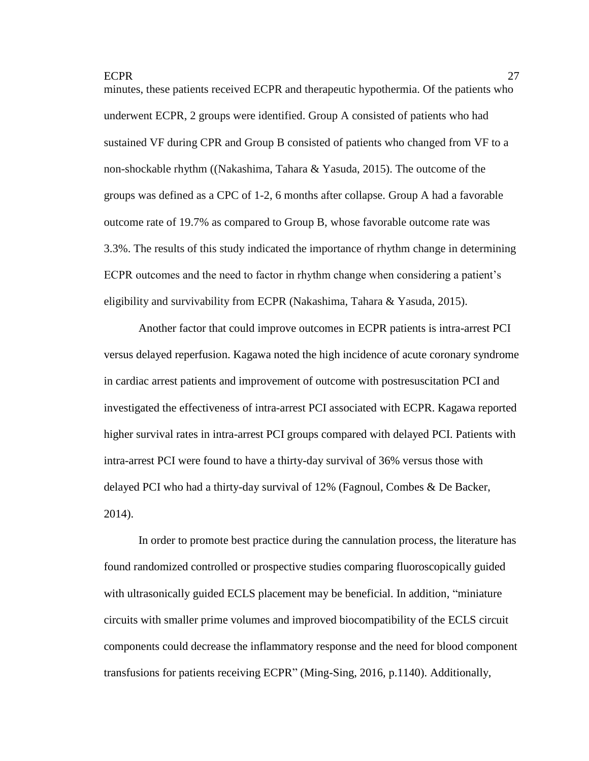minutes, these patients received ECPR and therapeutic hypothermia. Of the patients who underwent ECPR, 2 groups were identified. Group A consisted of patients who had sustained VF during CPR and Group B consisted of patients who changed from VF to a non-shockable rhythm ((Nakashima, Tahara & Yasuda, 2015). The outcome of the groups was defined as a CPC of 1-2, 6 months after collapse. Group A had a favorable outcome rate of 19.7% as compared to Group B, whose favorable outcome rate was 3.3%. The results of this study indicated the importance of rhythm change in determining ECPR outcomes and the need to factor in rhythm change when considering a patient's eligibility and survivability from ECPR (Nakashima, Tahara & Yasuda, 2015).

Another factor that could improve outcomes in ECPR patients is intra-arrest PCI versus delayed reperfusion. Kagawa noted the high incidence of acute coronary syndrome in cardiac arrest patients and improvement of outcome with postresuscitation PCI and investigated the effectiveness of intra-arrest PCI associated with ECPR. Kagawa reported higher survival rates in intra-arrest PCI groups compared with delayed PCI. Patients with intra-arrest PCI were found to have a thirty-day survival of 36% versus those with delayed PCI who had a thirty-day survival of 12% (Fagnoul, Combes & De Backer, 2014).

In order to promote best practice during the cannulation process, the literature has found randomized controlled or prospective studies comparing fluoroscopically guided with ultrasonically guided ECLS placement may be beneficial. In addition, "miniature circuits with smaller prime volumes and improved biocompatibility of the ECLS circuit components could decrease the inflammatory response and the need for blood component transfusions for patients receiving ECPR" (Ming-Sing, 2016, p.1140). Additionally,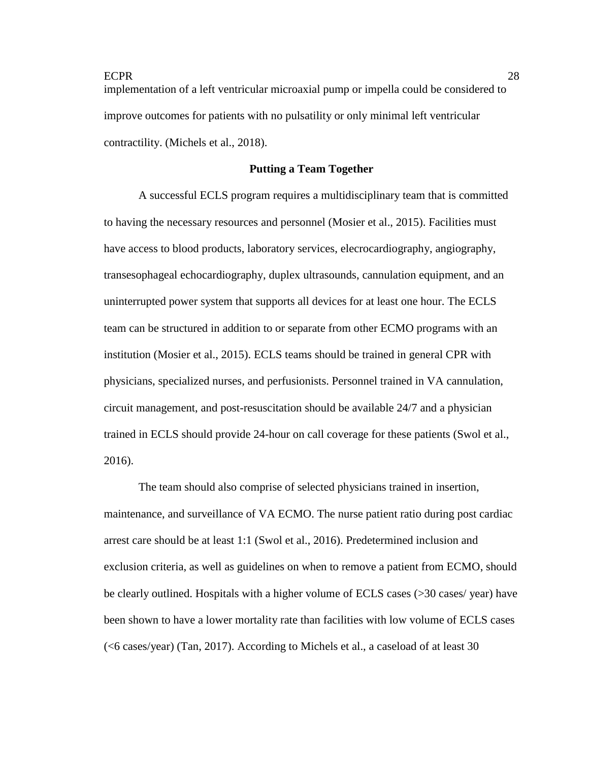implementation of a left ventricular microaxial pump or impella could be considered to improve outcomes for patients with no pulsatility or only minimal left ventricular contractility. (Michels et al., 2018).

## **Putting a Team Together**

A successful ECLS program requires a multidisciplinary team that is committed to having the necessary resources and personnel (Mosier et al., 2015). Facilities must have access to blood products, laboratory services, elecrocardiography, angiography, transesophageal echocardiography, duplex ultrasounds, cannulation equipment, and an uninterrupted power system that supports all devices for at least one hour. The ECLS team can be structured in addition to or separate from other ECMO programs with an institution (Mosier et al., 2015). ECLS teams should be trained in general CPR with physicians, specialized nurses, and perfusionists. Personnel trained in VA cannulation, circuit management, and post-resuscitation should be available 24/7 and a physician trained in ECLS should provide 24-hour on call coverage for these patients (Swol et al., 2016).

The team should also comprise of selected physicians trained in insertion, maintenance, and surveillance of VA ECMO. The nurse patient ratio during post cardiac arrest care should be at least 1:1 (Swol et al., 2016). Predetermined inclusion and exclusion criteria, as well as guidelines on when to remove a patient from ECMO, should be clearly outlined. Hospitals with a higher volume of ECLS cases (>30 cases/ year) have been shown to have a lower mortality rate than facilities with low volume of ECLS cases (<6 cases/year) (Tan, 2017). According to Michels et al., a caseload of at least 30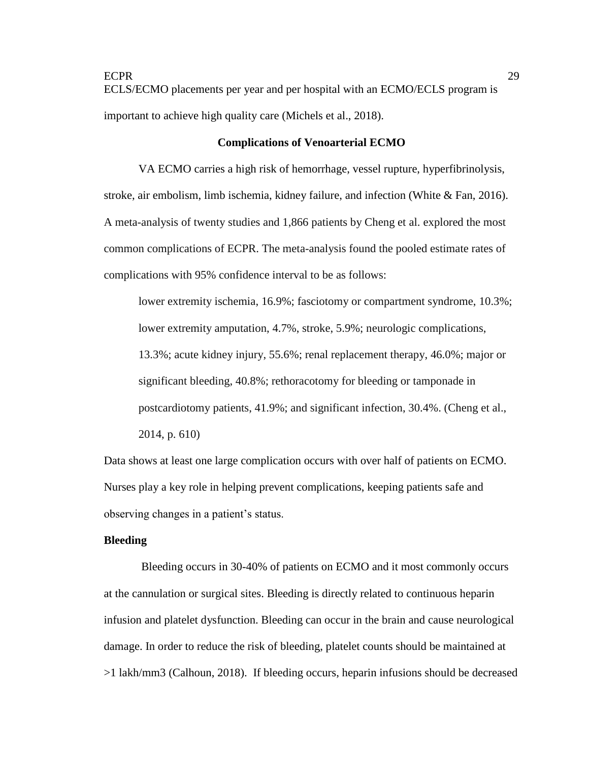ECPR 29 ECLS/ECMO placements per year and per hospital with an ECMO/ECLS program is important to achieve high quality care (Michels et al., 2018).

#### **Complications of Venoarterial ECMO**

VA ECMO carries a high risk of hemorrhage, vessel rupture, hyperfibrinolysis, stroke, air embolism, limb ischemia, kidney failure, and infection (White  $\&$  Fan, 2016). A meta-analysis of twenty studies and 1,866 patients by Cheng et al. explored the most common complications of ECPR. The meta-analysis found the pooled estimate rates of complications with 95% confidence interval to be as follows:

lower extremity ischemia, 16.9%; fasciotomy or compartment syndrome, 10.3%; lower extremity amputation, 4.7%, stroke, 5.9%; neurologic complications, 13.3%; acute kidney injury, 55.6%; renal replacement therapy, 46.0%; major or significant bleeding, 40.8%; rethoracotomy for bleeding or tamponade in postcardiotomy patients, 41.9%; and significant infection, 30.4%. (Cheng et al., 2014, p. 610)

Data shows at least one large complication occurs with over half of patients on ECMO. Nurses play a key role in helping prevent complications, keeping patients safe and observing changes in a patient's status.

## **Bleeding**

Bleeding occurs in 30-40% of patients on ECMO and it most commonly occurs at the cannulation or surgical sites. Bleeding is directly related to continuous heparin infusion and platelet dysfunction. Bleeding can occur in the brain and cause neurological damage. In order to reduce the risk of bleeding, platelet counts should be maintained at >1 lakh/mm3 (Calhoun, 2018). If bleeding occurs, heparin infusions should be decreased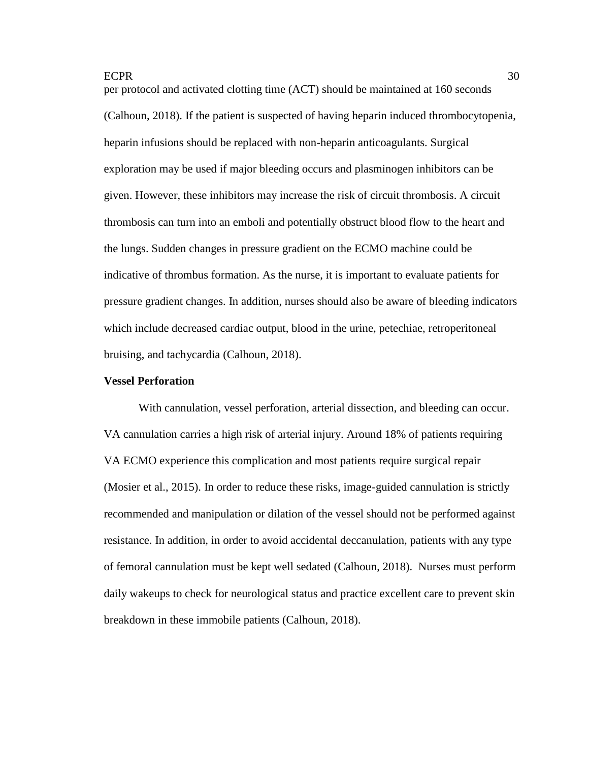per protocol and activated clotting time (ACT) should be maintained at 160 seconds (Calhoun, 2018). If the patient is suspected of having heparin induced thrombocytopenia, heparin infusions should be replaced with non-heparin anticoagulants. Surgical exploration may be used if major bleeding occurs and plasminogen inhibitors can be given. However, these inhibitors may increase the risk of circuit thrombosis. A circuit thrombosis can turn into an emboli and potentially obstruct blood flow to the heart and the lungs. Sudden changes in pressure gradient on the ECMO machine could be indicative of thrombus formation. As the nurse, it is important to evaluate patients for pressure gradient changes. In addition, nurses should also be aware of bleeding indicators which include decreased cardiac output, blood in the urine, petechiae, retroperitoneal bruising, and tachycardia (Calhoun, 2018).

#### **Vessel Perforation**

With cannulation, vessel perforation, arterial dissection, and bleeding can occur. VA cannulation carries a high risk of arterial injury. Around 18% of patients requiring VA ECMO experience this complication and most patients require surgical repair (Mosier et al., 2015). In order to reduce these risks, image-guided cannulation is strictly recommended and manipulation or dilation of the vessel should not be performed against resistance. In addition, in order to avoid accidental deccanulation, patients with any type of femoral cannulation must be kept well sedated (Calhoun, 2018). Nurses must perform daily wakeups to check for neurological status and practice excellent care to prevent skin breakdown in these immobile patients (Calhoun, 2018).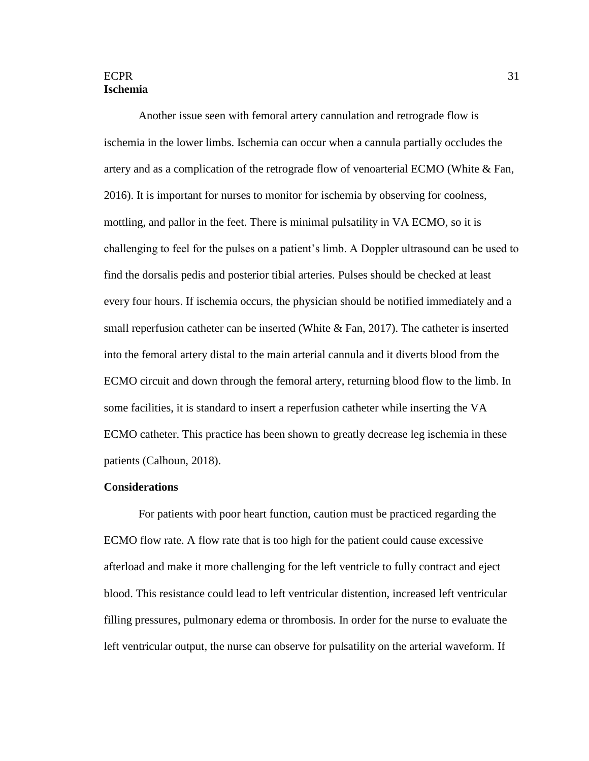## $ECPR$  31 **Ischemia**

Another issue seen with femoral artery cannulation and retrograde flow is ischemia in the lower limbs. Ischemia can occur when a cannula partially occludes the artery and as a complication of the retrograde flow of venoarterial ECMO (White & Fan, 2016). It is important for nurses to monitor for ischemia by observing for coolness, mottling, and pallor in the feet. There is minimal pulsatility in VA ECMO, so it is challenging to feel for the pulses on a patient's limb. A Doppler ultrasound can be used to find the dorsalis pedis and posterior tibial arteries. Pulses should be checked at least every four hours. If ischemia occurs, the physician should be notified immediately and a small reperfusion catheter can be inserted (White  $& Fan, 2017$ ). The catheter is inserted into the femoral artery distal to the main arterial cannula and it diverts blood from the ECMO circuit and down through the femoral artery, returning blood flow to the limb. In some facilities, it is standard to insert a reperfusion catheter while inserting the VA ECMO catheter. This practice has been shown to greatly decrease leg ischemia in these patients (Calhoun, 2018).

#### **Considerations**

For patients with poor heart function, caution must be practiced regarding the ECMO flow rate. A flow rate that is too high for the patient could cause excessive afterload and make it more challenging for the left ventricle to fully contract and eject blood. This resistance could lead to left ventricular distention, increased left ventricular filling pressures, pulmonary edema or thrombosis. In order for the nurse to evaluate the left ventricular output, the nurse can observe for pulsatility on the arterial waveform. If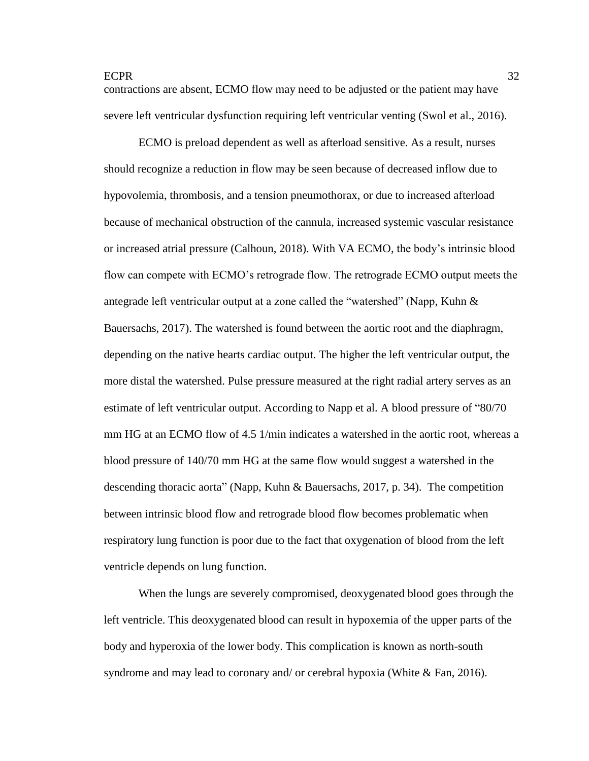contractions are absent, ECMO flow may need to be adjusted or the patient may have severe left ventricular dysfunction requiring left ventricular venting (Swol et al., 2016).

ECMO is preload dependent as well as afterload sensitive. As a result, nurses should recognize a reduction in flow may be seen because of decreased inflow due to hypovolemia, thrombosis, and a tension pneumothorax, or due to increased afterload because of mechanical obstruction of the cannula, increased systemic vascular resistance or increased atrial pressure (Calhoun, 2018). With VA ECMO, the body's intrinsic blood flow can compete with ECMO's retrograde flow. The retrograde ECMO output meets the antegrade left ventricular output at a zone called the "watershed" (Napp, Kuhn  $\&$ Bauersachs, 2017). The watershed is found between the aortic root and the diaphragm, depending on the native hearts cardiac output. The higher the left ventricular output, the more distal the watershed. Pulse pressure measured at the right radial artery serves as an estimate of left ventricular output. According to Napp et al. A blood pressure of "80/70 mm HG at an ECMO flow of 4.5 1/min indicates a watershed in the aortic root, whereas a blood pressure of 140/70 mm HG at the same flow would suggest a watershed in the descending thoracic aorta" (Napp, Kuhn & Bauersachs, 2017, p. 34). The competition between intrinsic blood flow and retrograde blood flow becomes problematic when respiratory lung function is poor due to the fact that oxygenation of blood from the left ventricle depends on lung function.

When the lungs are severely compromised, deoxygenated blood goes through the left ventricle. This deoxygenated blood can result in hypoxemia of the upper parts of the body and hyperoxia of the lower body. This complication is known as north-south syndrome and may lead to coronary and/ or cerebral hypoxia (White & Fan, 2016).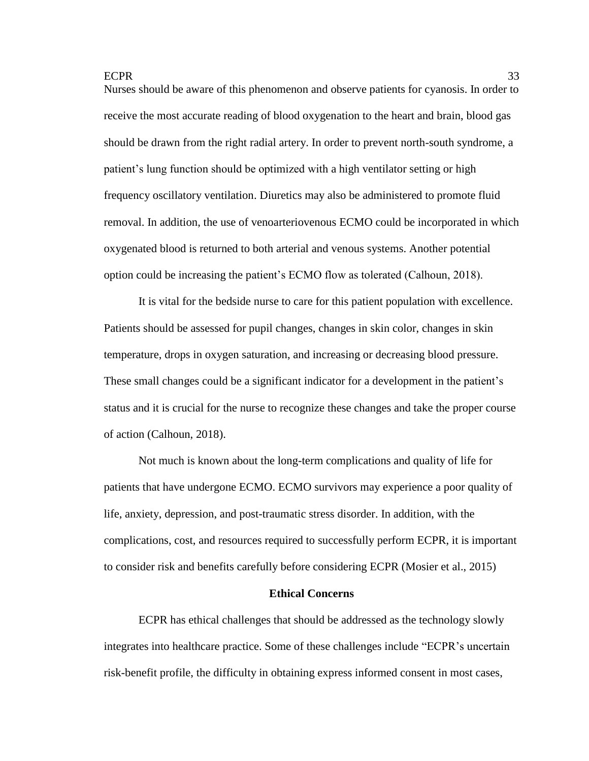Nurses should be aware of this phenomenon and observe patients for cyanosis. In order to receive the most accurate reading of blood oxygenation to the heart and brain, blood gas should be drawn from the right radial artery. In order to prevent north-south syndrome, a patient's lung function should be optimized with a high ventilator setting or high frequency oscillatory ventilation. Diuretics may also be administered to promote fluid removal. In addition, the use of venoarteriovenous ECMO could be incorporated in which oxygenated blood is returned to both arterial and venous systems. Another potential option could be increasing the patient's ECMO flow as tolerated (Calhoun, 2018).

It is vital for the bedside nurse to care for this patient population with excellence. Patients should be assessed for pupil changes, changes in skin color, changes in skin temperature, drops in oxygen saturation, and increasing or decreasing blood pressure. These small changes could be a significant indicator for a development in the patient's status and it is crucial for the nurse to recognize these changes and take the proper course of action (Calhoun, 2018).

Not much is known about the long-term complications and quality of life for patients that have undergone ECMO. ECMO survivors may experience a poor quality of life, anxiety, depression, and post-traumatic stress disorder. In addition, with the complications, cost, and resources required to successfully perform ECPR, it is important to consider risk and benefits carefully before considering ECPR (Mosier et al., 2015)

#### **Ethical Concerns**

ECPR has ethical challenges that should be addressed as the technology slowly integrates into healthcare practice. Some of these challenges include "ECPR's uncertain risk-benefit profile, the difficulty in obtaining express informed consent in most cases,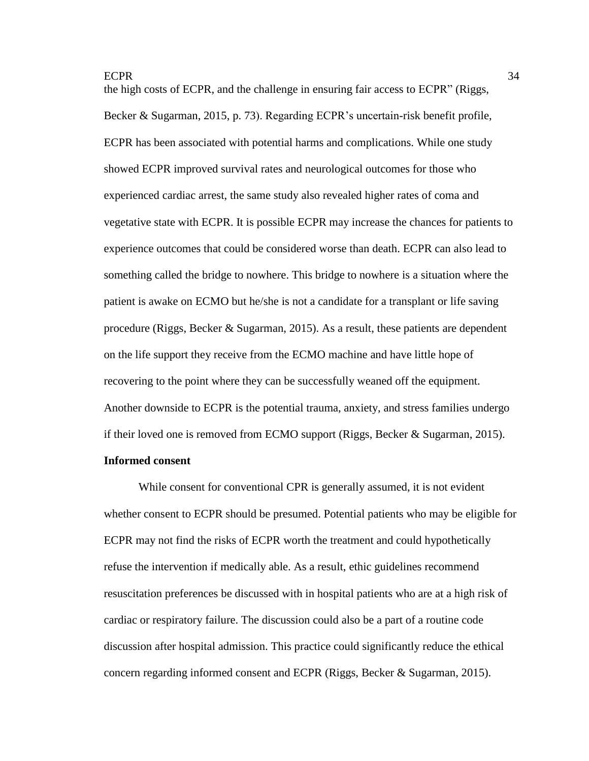the high costs of ECPR, and the challenge in ensuring fair access to ECPR" (Riggs, Becker & Sugarman, 2015, p. 73). Regarding ECPR's uncertain-risk benefit profile, ECPR has been associated with potential harms and complications. While one study showed ECPR improved survival rates and neurological outcomes for those who experienced cardiac arrest, the same study also revealed higher rates of coma and vegetative state with ECPR. It is possible ECPR may increase the chances for patients to experience outcomes that could be considered worse than death. ECPR can also lead to something called the bridge to nowhere. This bridge to nowhere is a situation where the patient is awake on ECMO but he/she is not a candidate for a transplant or life saving procedure (Riggs, Becker & Sugarman, 2015). As a result, these patients are dependent on the life support they receive from the ECMO machine and have little hope of recovering to the point where they can be successfully weaned off the equipment. Another downside to ECPR is the potential trauma, anxiety, and stress families undergo if their loved one is removed from ECMO support (Riggs, Becker & Sugarman, 2015).

# **Informed consent**

While consent for conventional CPR is generally assumed, it is not evident whether consent to ECPR should be presumed. Potential patients who may be eligible for ECPR may not find the risks of ECPR worth the treatment and could hypothetically refuse the intervention if medically able. As a result, ethic guidelines recommend resuscitation preferences be discussed with in hospital patients who are at a high risk of cardiac or respiratory failure. The discussion could also be a part of a routine code discussion after hospital admission. This practice could significantly reduce the ethical concern regarding informed consent and ECPR (Riggs, Becker & Sugarman, 2015).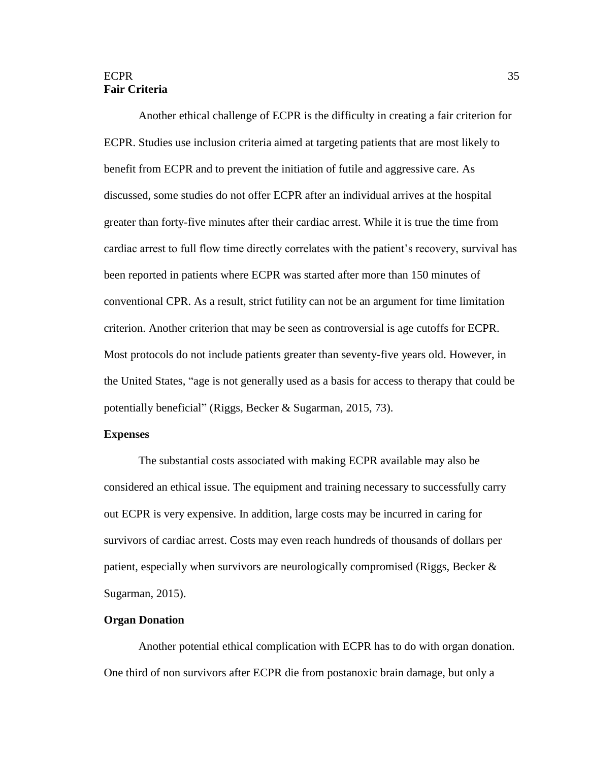# ECPR 35 **Fair Criteria**

Another ethical challenge of ECPR is the difficulty in creating a fair criterion for ECPR. Studies use inclusion criteria aimed at targeting patients that are most likely to benefit from ECPR and to prevent the initiation of futile and aggressive care. As discussed, some studies do not offer ECPR after an individual arrives at the hospital greater than forty-five minutes after their cardiac arrest. While it is true the time from cardiac arrest to full flow time directly correlates with the patient's recovery, survival has been reported in patients where ECPR was started after more than 150 minutes of conventional CPR. As a result, strict futility can not be an argument for time limitation criterion. Another criterion that may be seen as controversial is age cutoffs for ECPR. Most protocols do not include patients greater than seventy-five years old. However, in the United States, "age is not generally used as a basis for access to therapy that could be potentially beneficial" (Riggs, Becker & Sugarman, 2015, 73).

## **Expenses**

The substantial costs associated with making ECPR available may also be considered an ethical issue. The equipment and training necessary to successfully carry out ECPR is very expensive. In addition, large costs may be incurred in caring for survivors of cardiac arrest. Costs may even reach hundreds of thousands of dollars per patient, especially when survivors are neurologically compromised (Riggs, Becker & Sugarman, 2015).

## **Organ Donation**

Another potential ethical complication with ECPR has to do with organ donation. One third of non survivors after ECPR die from postanoxic brain damage, but only a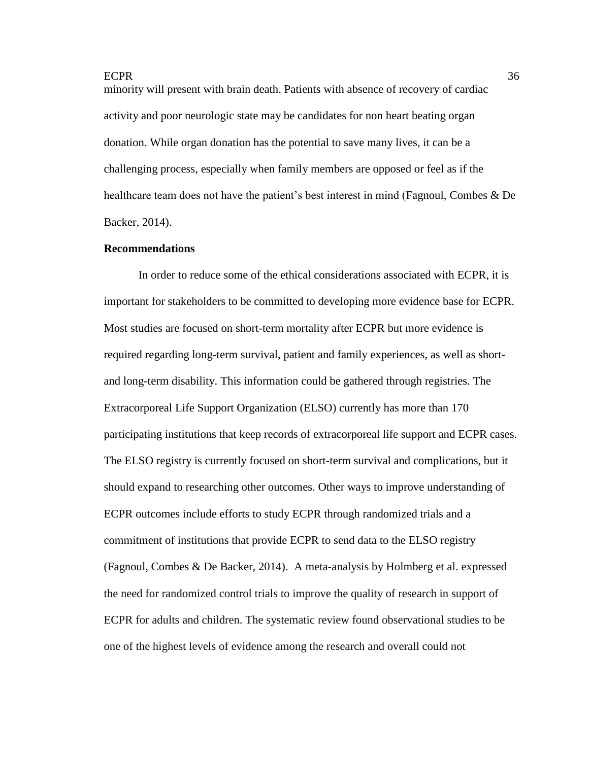minority will present with brain death. Patients with absence of recovery of cardiac activity and poor neurologic state may be candidates for non heart beating organ donation. While organ donation has the potential to save many lives, it can be a challenging process, especially when family members are opposed or feel as if the healthcare team does not have the patient's best interest in mind (Fagnoul, Combes & De Backer, 2014).

#### **Recommendations**

In order to reduce some of the ethical considerations associated with ECPR, it is important for stakeholders to be committed to developing more evidence base for ECPR. Most studies are focused on short-term mortality after ECPR but more evidence is required regarding long-term survival, patient and family experiences, as well as shortand long-term disability. This information could be gathered through registries. The Extracorporeal Life Support Organization (ELSO) currently has more than 170 participating institutions that keep records of extracorporeal life support and ECPR cases. The ELSO registry is currently focused on short-term survival and complications, but it should expand to researching other outcomes. Other ways to improve understanding of ECPR outcomes include efforts to study ECPR through randomized trials and a commitment of institutions that provide ECPR to send data to the ELSO registry (Fagnoul, Combes & De Backer, 2014). A meta-analysis by Holmberg et al. expressed the need for randomized control trials to improve the quality of research in support of ECPR for adults and children. The systematic review found observational studies to be one of the highest levels of evidence among the research and overall could not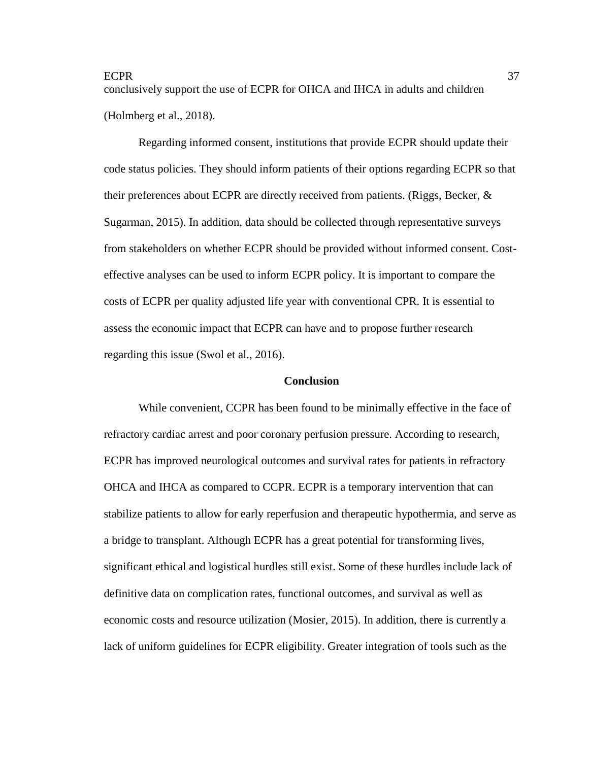conclusively support the use of ECPR for OHCA and IHCA in adults and children (Holmberg et al., 2018).

Regarding informed consent, institutions that provide ECPR should update their code status policies. They should inform patients of their options regarding ECPR so that their preferences about ECPR are directly received from patients. (Riggs, Becker,  $\&$ Sugarman, 2015). In addition, data should be collected through representative surveys from stakeholders on whether ECPR should be provided without informed consent. Costeffective analyses can be used to inform ECPR policy. It is important to compare the costs of ECPR per quality adjusted life year with conventional CPR. It is essential to assess the economic impact that ECPR can have and to propose further research regarding this issue (Swol et al., 2016).

#### **Conclusion**

While convenient, CCPR has been found to be minimally effective in the face of refractory cardiac arrest and poor coronary perfusion pressure. According to research, ECPR has improved neurological outcomes and survival rates for patients in refractory OHCA and IHCA as compared to CCPR. ECPR is a temporary intervention that can stabilize patients to allow for early reperfusion and therapeutic hypothermia, and serve as a bridge to transplant. Although ECPR has a great potential for transforming lives, significant ethical and logistical hurdles still exist. Some of these hurdles include lack of definitive data on complication rates, functional outcomes, and survival as well as economic costs and resource utilization (Mosier, 2015). In addition, there is currently a lack of uniform guidelines for ECPR eligibility. Greater integration of tools such as the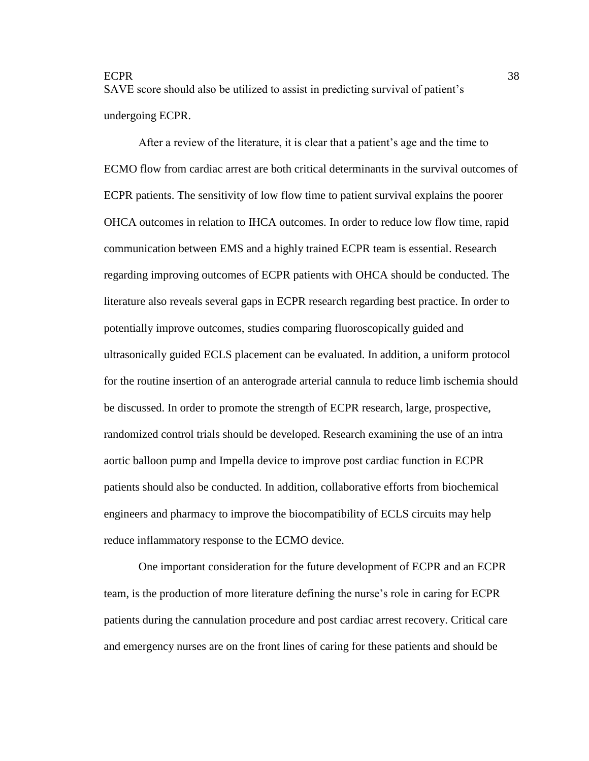SAVE score should also be utilized to assist in predicting survival of patient's undergoing ECPR.

After a review of the literature, it is clear that a patient's age and the time to ECMO flow from cardiac arrest are both critical determinants in the survival outcomes of ECPR patients. The sensitivity of low flow time to patient survival explains the poorer OHCA outcomes in relation to IHCA outcomes. In order to reduce low flow time, rapid communication between EMS and a highly trained ECPR team is essential. Research regarding improving outcomes of ECPR patients with OHCA should be conducted. The literature also reveals several gaps in ECPR research regarding best practice. In order to potentially improve outcomes, studies comparing fluoroscopically guided and ultrasonically guided ECLS placement can be evaluated. In addition, a uniform protocol for the routine insertion of an anterograde arterial cannula to reduce limb ischemia should be discussed. In order to promote the strength of ECPR research, large, prospective, randomized control trials should be developed. Research examining the use of an intra aortic balloon pump and Impella device to improve post cardiac function in ECPR patients should also be conducted. In addition, collaborative efforts from biochemical engineers and pharmacy to improve the biocompatibility of ECLS circuits may help reduce inflammatory response to the ECMO device.

One important consideration for the future development of ECPR and an ECPR team, is the production of more literature defining the nurse's role in caring for ECPR patients during the cannulation procedure and post cardiac arrest recovery. Critical care and emergency nurses are on the front lines of caring for these patients and should be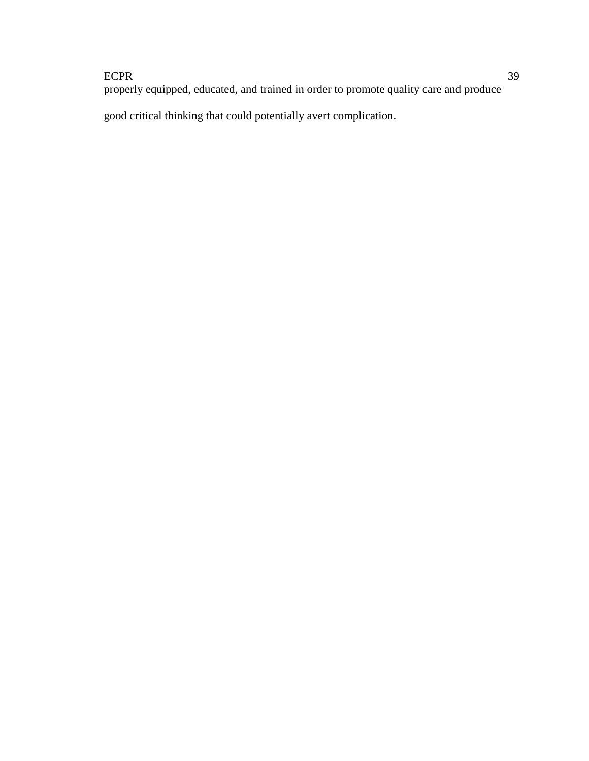properly equipped, educated, and trained in order to promote quality care and produce

good critical thinking that could potentially avert complication.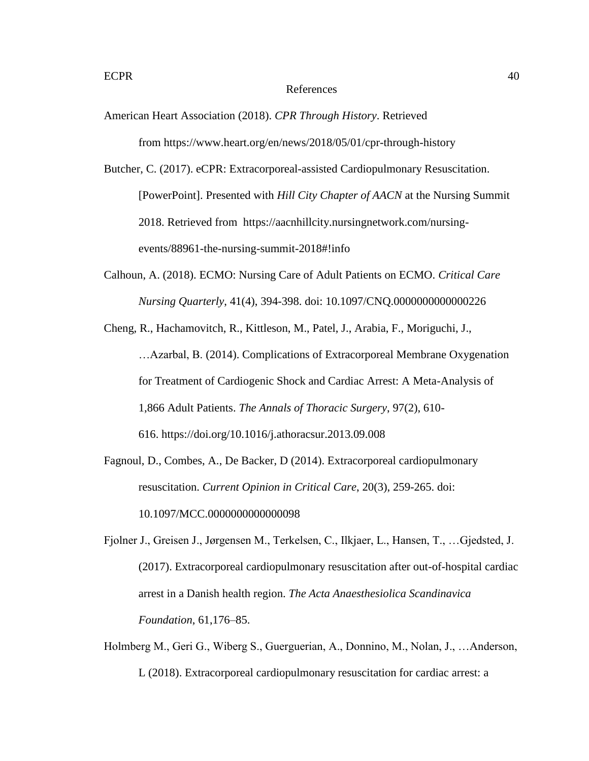#### References

American Heart Association (2018). *CPR Through History*. Retrieved

from https://www.heart.org/en/news/2018/05/01/cpr-through-history

Butcher, C. (2017). eCPR: Extracorporeal-assisted Cardiopulmonary Resuscitation. [PowerPoint]. Presented with *Hill City Chapter of AACN* at the Nursing Summit 2018. Retrieved from https://aacnhillcity.nursingnetwork.com/nursingevents/88961-the-nursing-summit-2018#!info

Calhoun, A. (2018). ECMO: Nursing Care of Adult Patients on ECMO. *Critical Care Nursing Quarterly*, 41(4), 394-398. doi: 10.1097/CNQ.0000000000000226

Cheng, R., Hachamovitch, R., Kittleson, M., Patel, J., Arabia, F., Moriguchi, J., …Azarbal, B. (2014). Complications of Extracorporeal Membrane Oxygenation for Treatment of Cardiogenic Shock and Cardiac Arrest: A Meta-Analysis of 1,866 Adult Patients. *The Annals of Thoracic Surgery*, 97(2), 610- 616. <https://doi.org/10.1016/j.athoracsur.2013.09.008>

- Fagnoul, D., Combes, A., De Backer, D (2014). Extracorporeal cardiopulmonary resuscitation. *Current Opinion in Critical Care*, 20(3), 259-265. doi: 10.1097/MCC.0000000000000098
- Fjolner J., Greisen J., Jørgensen M., Terkelsen, C., Ilkjaer, L., Hansen, T., …Gjedsted, J. (2017). Extracorporeal cardiopulmonary resuscitation after out-of-hospital cardiac arrest in a Danish health region. *The Acta Anaesthesiolica Scandinavica Foundation*, 61,176–85.
- Holmberg M., Geri G., Wiberg S., Guerguerian, A., Donnino, M., Nolan, J., …Anderson, L (2018). Extracorporeal cardiopulmonary resuscitation for cardiac arrest: a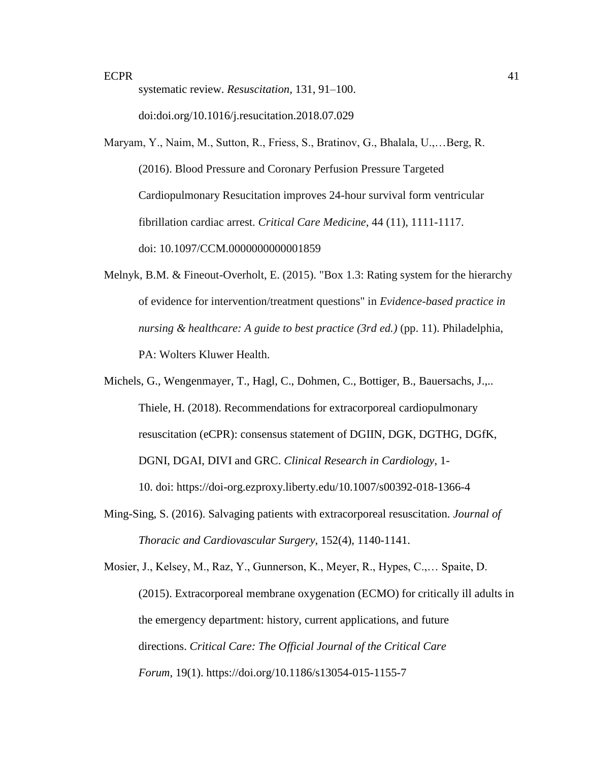systematic review. *Resuscitation*, 131, 91–100.

doi:doi.org/10.1016/j.resucitation.2018.07.029

Maryam, Y., Naim, M., Sutton, R., Friess, S., Bratinov, G., Bhalala, U.,…Berg, R. (2016). Blood Pressure and Coronary Perfusion Pressure Targeted Cardiopulmonary Resucitation improves 24-hour survival form ventricular fibrillation cardiac arrest. *Critical Care Medicine*, 44 (11), 1111-1117. doi: [10.1097/CCM.0000000000001859](https://dx.doi.org/10.1097%2FCCM.0000000000001859)

- Melnyk, B.M. & Fineout-Overholt, E. (2015). "Box 1.3: Rating system for the hierarchy of evidence for intervention/treatment questions" in *Evidence-based practice in nursing & healthcare: A guide to best practice (3rd ed.)* (pp. 11). Philadelphia, PA: Wolters Kluwer Health.
- Michels, G., Wengenmayer, T., Hagl, C., Dohmen, C., Bottiger, B., Bauersachs, J.,.. Thiele, H. (2018). Recommendations for extracorporeal cardiopulmonary resuscitation (eCPR): consensus statement of DGIIN, DGK, DGTHG, DGfK, DGNI, DGAI, DIVI and GRC. *Clinical Research in Cardiology*, 1- 10. doi: <https://doi-org.ezproxy.liberty.edu/10.1007/s00392-018-1366-4>
- Ming-Sing, S. (2016). Salvaging patients with extracorporeal resuscitation. *Journal of Thoracic and Cardiovascular Surgery*, 152(4), 1140-1141.

Mosier, J., Kelsey, M., Raz, Y., Gunnerson, K., Meyer, R., Hypes, C.,… Spaite, D. (2015). Extracorporeal membrane oxygenation (ECMO) for critically ill adults in the emergency department: history, current applications, and future directions. *Critical Care: The Official Journal of the Critical Care Forum*, 19(1). <https://doi.org/10.1186/s13054-015-1155-7>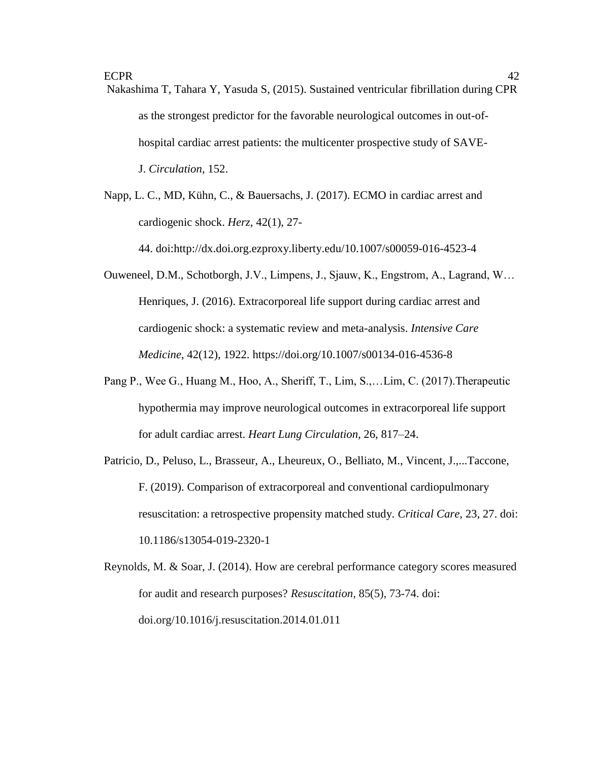Nakashima T, Tahara Y, Yasuda S, (2015). Sustained ventricular fibrillation during CPR as the strongest predictor for the favorable neurological outcomes in out-ofhospital cardiac arrest patients: the multicenter prospective study of SAVE-J. *Circulation*, 152.

Napp, L. C., MD, Kühn, C., & Bauersachs, J. (2017). ECMO in cardiac arrest and cardiogenic shock. *Herz*, 42(1), 27-

44. doi:http://dx.doi.org.ezproxy.liberty.edu/10.1007/s00059-016-4523-4

- Ouweneel, D.M., Schotborgh, J.V., Limpens, J., Sjauw, K., Engstrom, A., Lagrand, W… Henriques, J. (2016). Extracorporeal life support during cardiac arrest and cardiogenic shock: a systematic review and meta-analysis. *Intensive Care Medicine*, 42(12), 1922. <https://doi.org/10.1007/s00134-016-4536-8>
- Pang P., Wee G., Huang M., Hoo, A., Sheriff, T., Lim, S.,…Lim, C. (2017).Therapeutic hypothermia may improve neurological outcomes in extracorporeal life support for adult cardiac arrest. *Heart Lung Circulation,* 26, 817–24.
- Patricio, D., Peluso, L., Brasseur, A., Lheureux, O., Belliato, M., Vincent, J.,...Taccone, F. (2019). Comparison of extracorporeal and conventional cardiopulmonary resuscitation: a retrospective propensity matched study. *Critical Care*, 23, 27. doi: [10.1186/s13054-019-2320-1](https://dx.doi.org/10.1186%2Fs13054-019-2320-1)
- Reynolds, M. & Soar, J. (2014). How are cerebral performance category scores measured for audit and research purposes? *Resuscitation*, 85(5), 73-74. doi: doi.org/10.1016/j.resuscitation.2014.01.011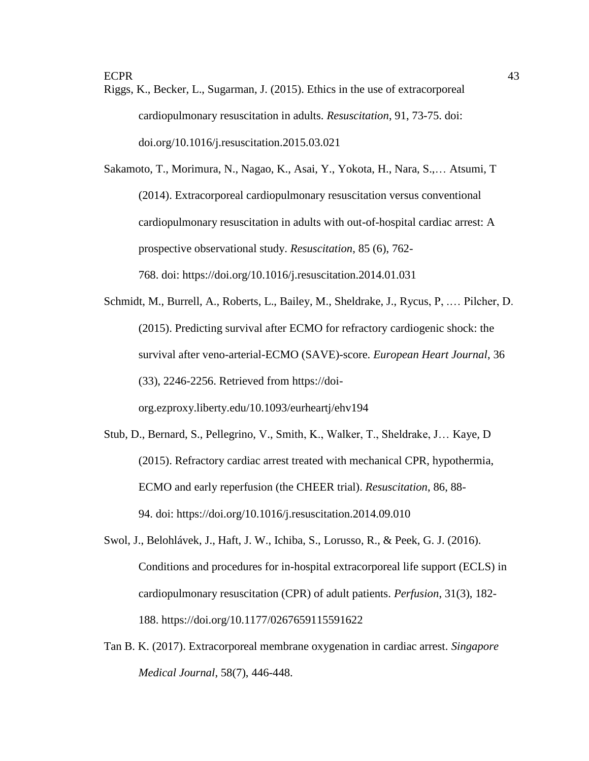Riggs, K., Becker, L., Sugarman, J. (2015). Ethics in the use of extracorporeal cardiopulmonary resuscitation in adults. *Resuscitation*, 91, 73-75. doi: doi.org/10.1016/j.resuscitation.2015.03.021

Sakamoto, T., Morimura, N., Nagao, K., Asai, Y., Yokota, H., Nara, S.,… Atsumi, T (2014). Extracorporeal cardiopulmonary resuscitation versus conventional cardiopulmonary resuscitation in adults with out-of-hospital cardiac arrest: A prospective observational study. *Resuscitation*, 85 (6), 762- 768. doi: [https://doi.org/10.1016/j.resuscitation.2014.01.031](https://doi-org.ezproxy.liberty.edu/10.1016/j.resuscitation.2014.01.031)

Schmidt, M., Burrell, A., Roberts, L., Bailey, M., Sheldrake, J., Rycus, P, .… Pilcher, D. (2015). Predicting survival after ECMO for refractory cardiogenic shock: the survival after veno-arterial-ECMO (SAVE)-score. *European Heart Journal*, 36 (33), 2246-2256. Retrieved from [https://doi](https://doi-org.ezproxy.liberty.edu/10.1093/eurheartj/ehv194)[org.ezproxy.liberty.edu/10.1093/eurheartj/ehv194](https://doi-org.ezproxy.liberty.edu/10.1093/eurheartj/ehv194)

- Stub, D., Bernard, S., Pellegrino, V., Smith, K., Walker, T., Sheldrake, J… Kaye, D (2015). Refractory cardiac arrest treated with mechanical CPR, hypothermia, ECMO and early reperfusion (the CHEER trial). *Resuscitation*, 86, 88- 94. doi: [https://doi.org/10.1016/j.resuscitation.2014.09.010](https://doi-org.ezproxy.liberty.edu/10.1016/j.resuscitation.2014.09.010)
- Swol, J., Belohlávek, J., Haft, J. W., Ichiba, S., Lorusso, R., & Peek, G. J. (2016). Conditions and procedures for in-hospital extracorporeal life support (ECLS) in cardiopulmonary resuscitation (CPR) of adult patients. *Perfusion*, 31(3), 182- 188. <https://doi.org/10.1177/0267659115591622>
- Tan B. K. (2017). Extracorporeal membrane oxygenation in cardiac arrest. *Singapore Medical Journal*, 58(7), 446-448.